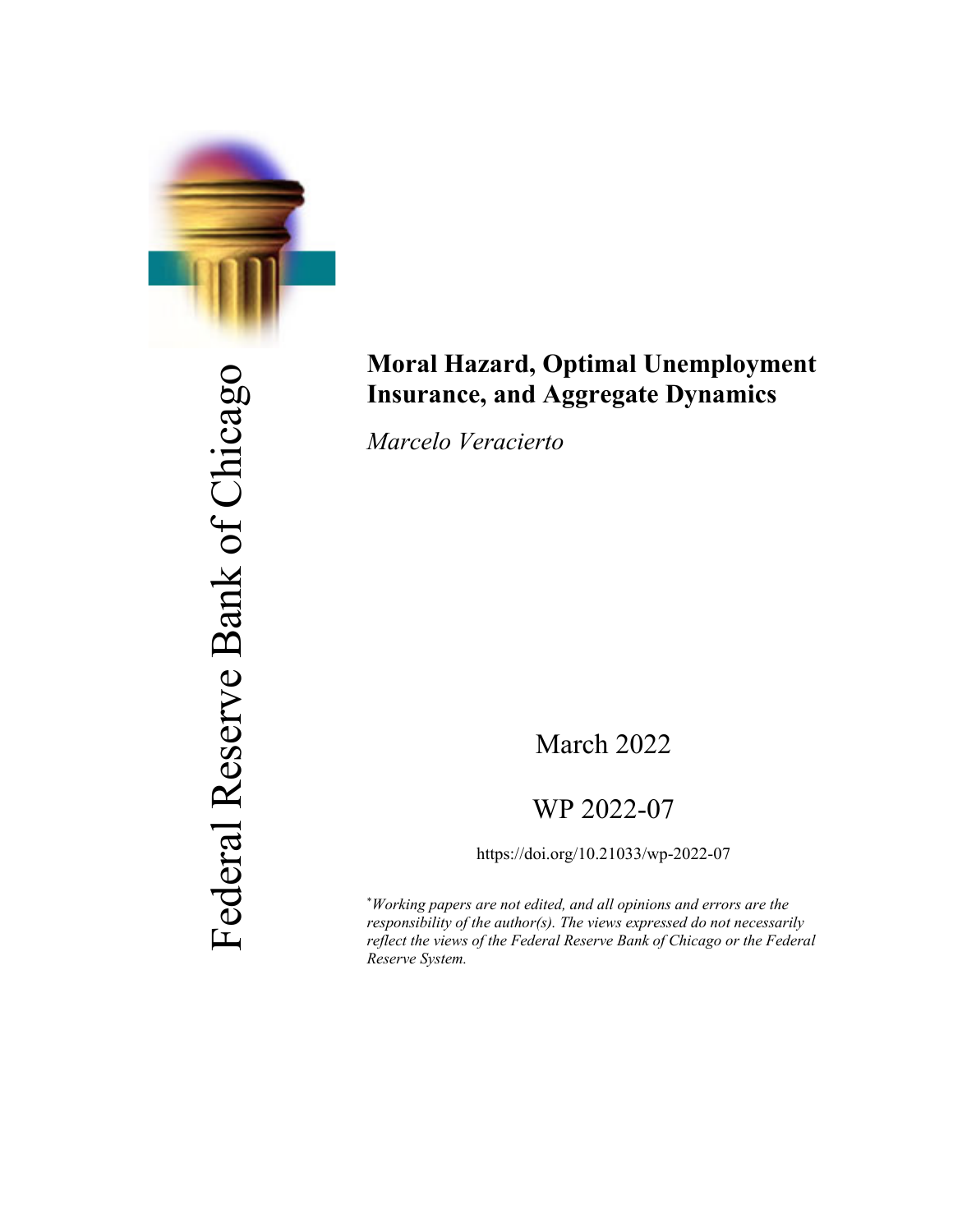

Federal Reserve Bank of Chicago Federal Reserve Bank of Chicago

# **Moral Hazard, Optimal Unemployment Insurance, and Aggregate Dynamics**

*Marcelo Veracierto*

## March 2022

## WP 2022-07

https://doi.org/10.21033/wp-2022-07

\* *Working papers are not edited, and all opinions and errors are the responsibility of the author(s). The views expressed do not necessarily reflect the views of the Federal Reserve Bank of Chicago or the Federal Reserve System.*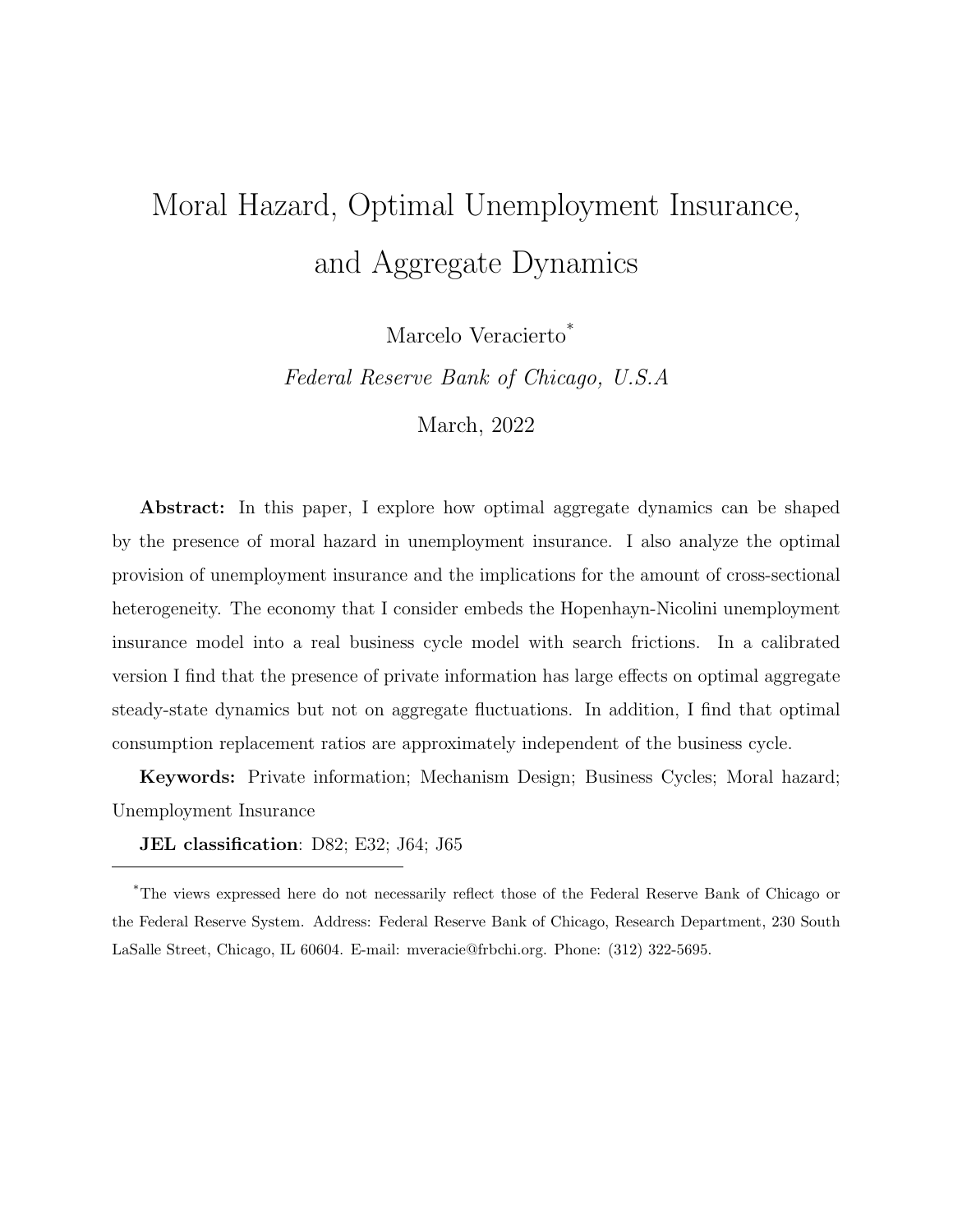# Moral Hazard, Optimal Unemployment Insurance, and Aggregate Dynamics

Marcelo Veracierto\*

Federal Reserve Bank of Chicago, U.S.A

March, 2022

Abstract: In this paper, I explore how optimal aggregate dynamics can be shaped by the presence of moral hazard in unemployment insurance. I also analyze the optimal provision of unemployment insurance and the implications for the amount of cross-sectional heterogeneity. The economy that I consider embeds the Hopenhayn-Nicolini unemployment insurance model into a real business cycle model with search frictions. In a calibrated version I find that the presence of private information has large effects on optimal aggregate steady-state dynamics but not on aggregate fluctuations. In addition, I find that optimal consumption replacement ratios are approximately independent of the business cycle.

Keywords: Private information; Mechanism Design; Business Cycles; Moral hazard; Unemployment Insurance

JEL classification: D82; E32; J64; J65

<sup>\*</sup>The views expressed here do not necessarily reflect those of the Federal Reserve Bank of Chicago or the Federal Reserve System. Address: Federal Reserve Bank of Chicago, Research Department, 230 South LaSalle Street, Chicago, IL 60604. E-mail: mveracie@frbchi.org. Phone: (312) 322-5695.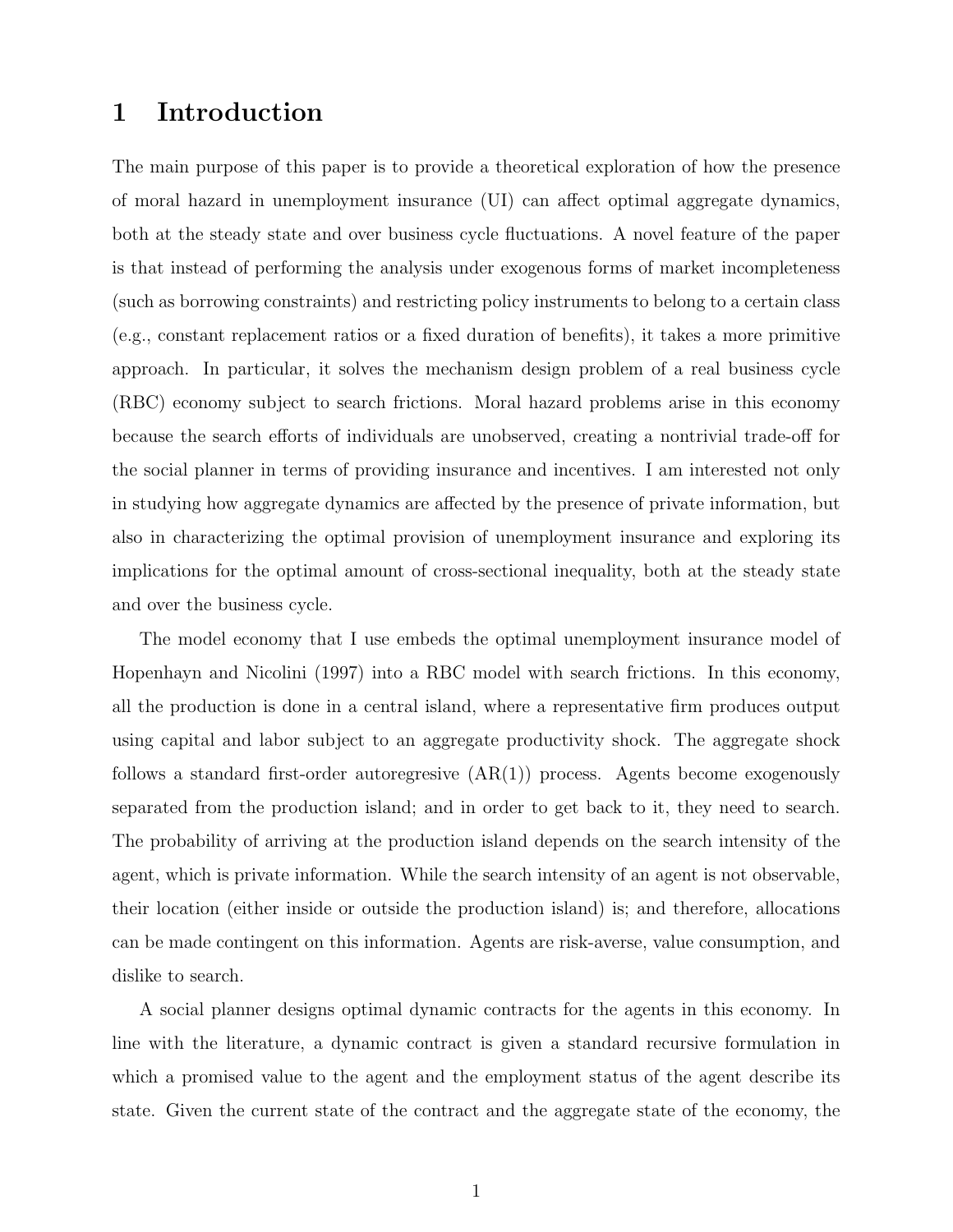#### 1 Introduction

The main purpose of this paper is to provide a theoretical exploration of how the presence of moral hazard in unemployment insurance (UI) can affect optimal aggregate dynamics, both at the steady state and over business cycle fluctuations. A novel feature of the paper is that instead of performing the analysis under exogenous forms of market incompleteness (such as borrowing constraints) and restricting policy instruments to belong to a certain class (e.g., constant replacement ratios or a fixed duration of benefits), it takes a more primitive approach. In particular, it solves the mechanism design problem of a real business cycle (RBC) economy subject to search frictions. Moral hazard problems arise in this economy because the search efforts of individuals are unobserved, creating a nontrivial trade-off for the social planner in terms of providing insurance and incentives. I am interested not only in studying how aggregate dynamics are affected by the presence of private information, but also in characterizing the optimal provision of unemployment insurance and exploring its implications for the optimal amount of cross-sectional inequality, both at the steady state and over the business cycle.

The model economy that I use embeds the optimal unemployment insurance model of Hopenhayn and Nicolini (1997) into a RBC model with search frictions. In this economy, all the production is done in a central island, where a representative firm produces output using capital and labor subject to an aggregate productivity shock. The aggregate shock follows a standard first-order autoregresive  $(AR(1))$  process. Agents become exogenously separated from the production island; and in order to get back to it, they need to search. The probability of arriving at the production island depends on the search intensity of the agent, which is private information. While the search intensity of an agent is not observable, their location (either inside or outside the production island) is; and therefore, allocations can be made contingent on this information. Agents are risk-averse, value consumption, and dislike to search.

A social planner designs optimal dynamic contracts for the agents in this economy. In line with the literature, a dynamic contract is given a standard recursive formulation in which a promised value to the agent and the employment status of the agent describe its state. Given the current state of the contract and the aggregate state of the economy, the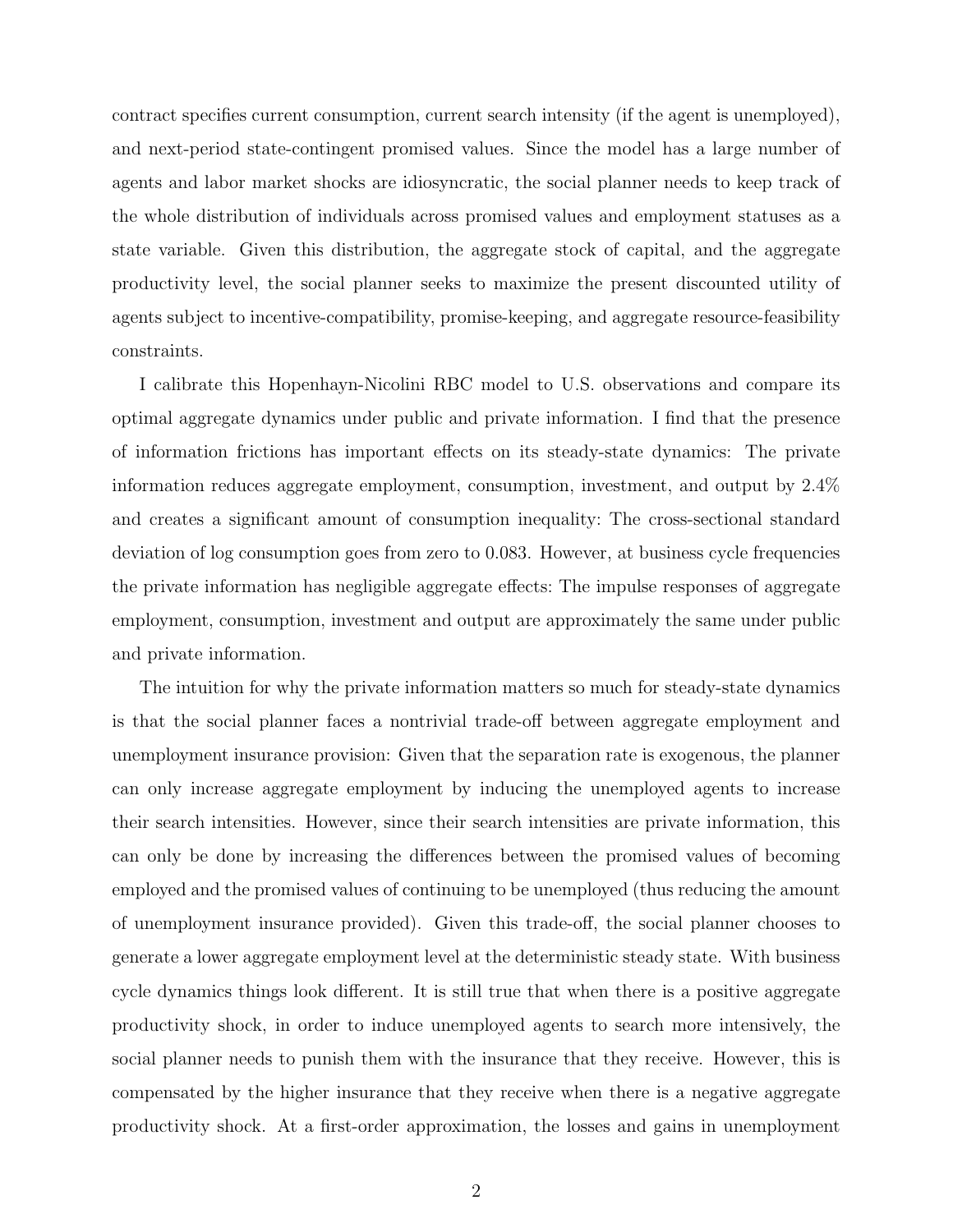contract specifies current consumption, current search intensity (if the agent is unemployed), and next-period state-contingent promised values. Since the model has a large number of agents and labor market shocks are idiosyncratic, the social planner needs to keep track of the whole distribution of individuals across promised values and employment statuses as a state variable. Given this distribution, the aggregate stock of capital, and the aggregate productivity level, the social planner seeks to maximize the present discounted utility of agents subject to incentive-compatibility, promise-keeping, and aggregate resource-feasibility constraints.

I calibrate this Hopenhayn-Nicolini RBC model to U.S. observations and compare its optimal aggregate dynamics under public and private information. I find that the presence of information frictions has important effects on its steady-state dynamics: The private information reduces aggregate employment, consumption, investment, and output by 2.4% and creates a significant amount of consumption inequality: The cross-sectional standard deviation of log consumption goes from zero to 0.083. However, at business cycle frequencies the private information has negligible aggregate effects: The impulse responses of aggregate employment, consumption, investment and output are approximately the same under public and private information.

The intuition for why the private information matters so much for steady-state dynamics is that the social planner faces a nontrivial trade-off between aggregate employment and unemployment insurance provision: Given that the separation rate is exogenous, the planner can only increase aggregate employment by inducing the unemployed agents to increase their search intensities. However, since their search intensities are private information, this can only be done by increasing the differences between the promised values of becoming employed and the promised values of continuing to be unemployed (thus reducing the amount of unemployment insurance provided). Given this trade-off, the social planner chooses to generate a lower aggregate employment level at the deterministic steady state. With business cycle dynamics things look different. It is still true that when there is a positive aggregate productivity shock, in order to induce unemployed agents to search more intensively, the social planner needs to punish them with the insurance that they receive. However, this is compensated by the higher insurance that they receive when there is a negative aggregate productivity shock. At a first-order approximation, the losses and gains in unemployment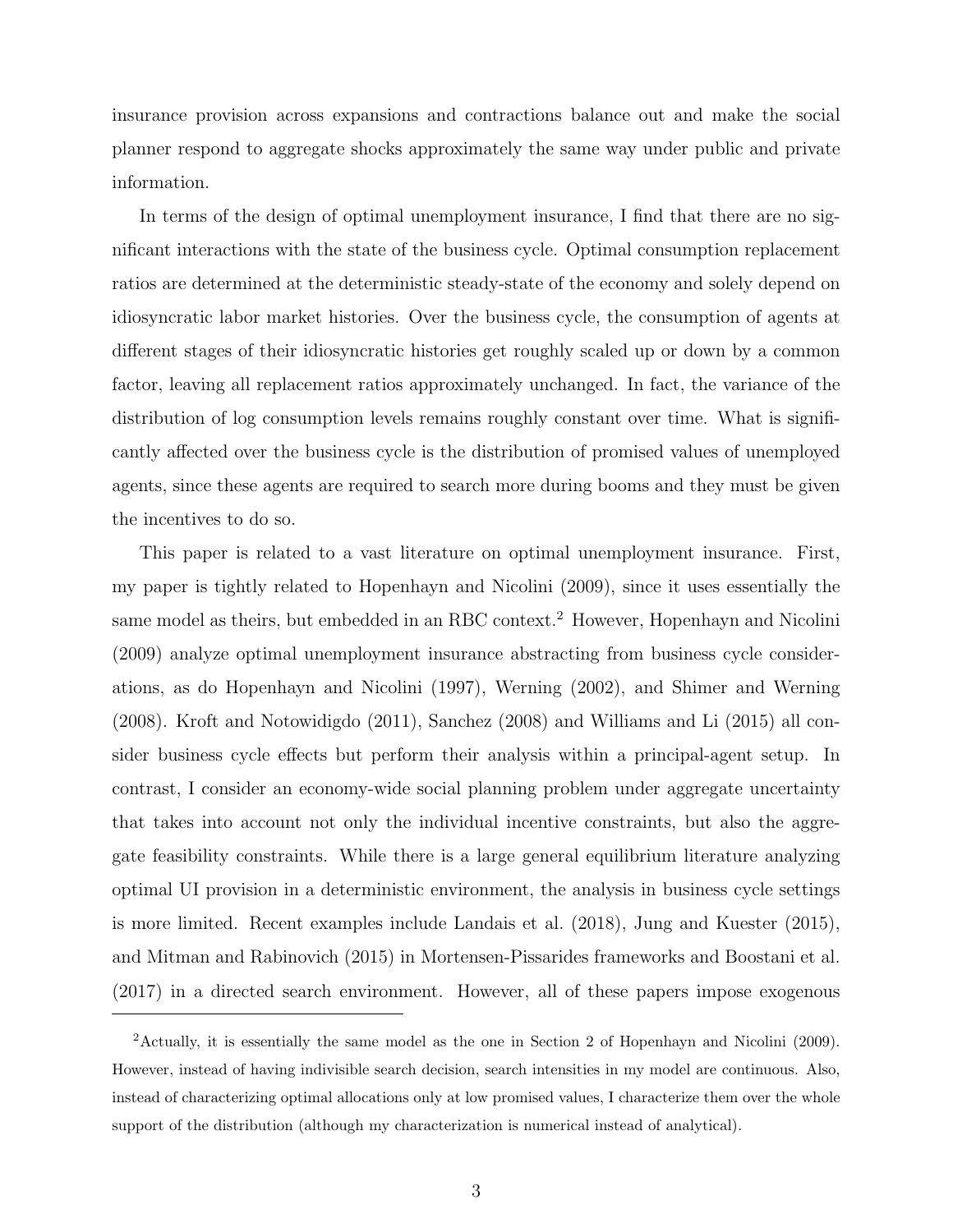insurance provision across expansions and contractions balance out and make the social planner respond to aggregate shocks approximately the same way under public and private information.

In terms of the design of optimal unemployment insurance, I find that there are no significant interactions with the state of the business cycle. Optimal consumption replacement ratios are determined at the deterministic steady-state of the economy and solely depend on idiosyncratic labor market histories. Over the business cycle, the consumption of agents at different stages of their idiosyncratic histories get roughly scaled up or down by a common factor, leaving all replacement ratios approximately unchanged. In fact, the variance of the distribution of log consumption levels remains roughly constant over time. What is significantly affected over the business cycle is the distribution of promised values of unemployed agents, since these agents are required to search more during booms and they must be given the incentives to do so.

This paper is related to a vast literature on optimal unemployment insurance. First, my paper is tightly related to Hopenhayn and Nicolini (2009), since it uses essentially the same model as theirs, but embedded in an RBC context.<sup>2</sup> However, Hopenhayn and Nicolini (2009) analyze optimal unemployment insurance abstracting from business cycle considerations, as do Hopenhayn and Nicolini (1997), Werning (2002), and Shimer and Werning (2008). Kroft and Notowidigdo (2011), Sanchez (2008) and Williams and Li (2015) all consider business cycle effects but perform their analysis within a principal-agent setup. In contrast, I consider an economy-wide social planning problem under aggregate uncertainty that takes into account not only the individual incentive constraints, but also the aggregate feasibility constraints. While there is a large general equilibrium literature analyzing optimal UI provision in a deterministic environment, the analysis in business cycle settings is more limited. Recent examples include Landais et al. (2018), Jung and Kuester (2015), and Mitman and Rabinovich (2015) in Mortensen-Pissarides frameworks and Boostani et al. (2017) in a directed search environment. However, all of these papers impose exogenous

<sup>2</sup>Actually, it is essentially the same model as the one in Section 2 of Hopenhayn and Nicolini (2009). However, instead of having indivisible search decision, search intensities in my model are continuous. Also, instead of characterizing optimal allocations only at low promised values, I characterize them over the whole support of the distribution (although my characterization is numerical instead of analytical).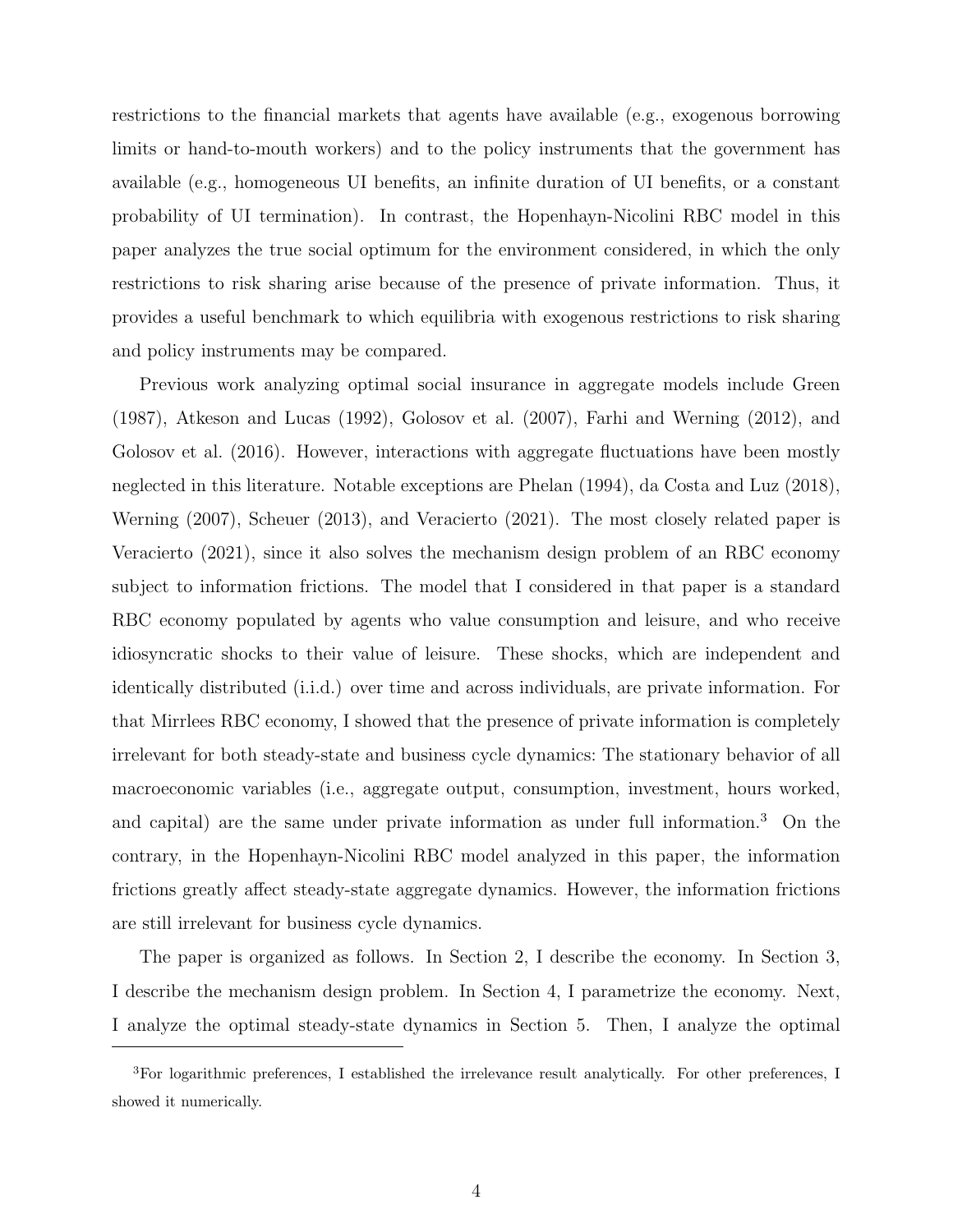restrictions to the financial markets that agents have available (e.g., exogenous borrowing limits or hand-to-mouth workers) and to the policy instruments that the government has available (e.g., homogeneous UI benefits, an infinite duration of UI benefits, or a constant probability of UI termination). In contrast, the Hopenhayn-Nicolini RBC model in this paper analyzes the true social optimum for the environment considered, in which the only restrictions to risk sharing arise because of the presence of private information. Thus, it provides a useful benchmark to which equilibria with exogenous restrictions to risk sharing and policy instruments may be compared.

Previous work analyzing optimal social insurance in aggregate models include Green (1987), Atkeson and Lucas (1992), Golosov et al. (2007), Farhi and Werning (2012), and Golosov et al. (2016). However, interactions with aggregate fluctuations have been mostly neglected in this literature. Notable exceptions are Phelan (1994), da Costa and Luz (2018), Werning (2007), Scheuer (2013), and Veracierto (2021). The most closely related paper is Veracierto (2021), since it also solves the mechanism design problem of an RBC economy subject to information frictions. The model that I considered in that paper is a standard RBC economy populated by agents who value consumption and leisure, and who receive idiosyncratic shocks to their value of leisure. These shocks, which are independent and identically distributed (i.i.d.) over time and across individuals, are private information. For that Mirrlees RBC economy, I showed that the presence of private information is completely irrelevant for both steady-state and business cycle dynamics: The stationary behavior of all macroeconomic variables (i.e., aggregate output, consumption, investment, hours worked, and capital) are the same under private information as under full information.<sup>3</sup> On the contrary, in the Hopenhayn-Nicolini RBC model analyzed in this paper, the information frictions greatly affect steady-state aggregate dynamics. However, the information frictions are still irrelevant for business cycle dynamics.

The paper is organized as follows. In Section 2, I describe the economy. In Section 3, I describe the mechanism design problem. In Section 4, I parametrize the economy. Next, I analyze the optimal steady-state dynamics in Section 5. Then, I analyze the optimal

<sup>3</sup>For logarithmic preferences, I established the irrelevance result analytically. For other preferences, I showed it numerically.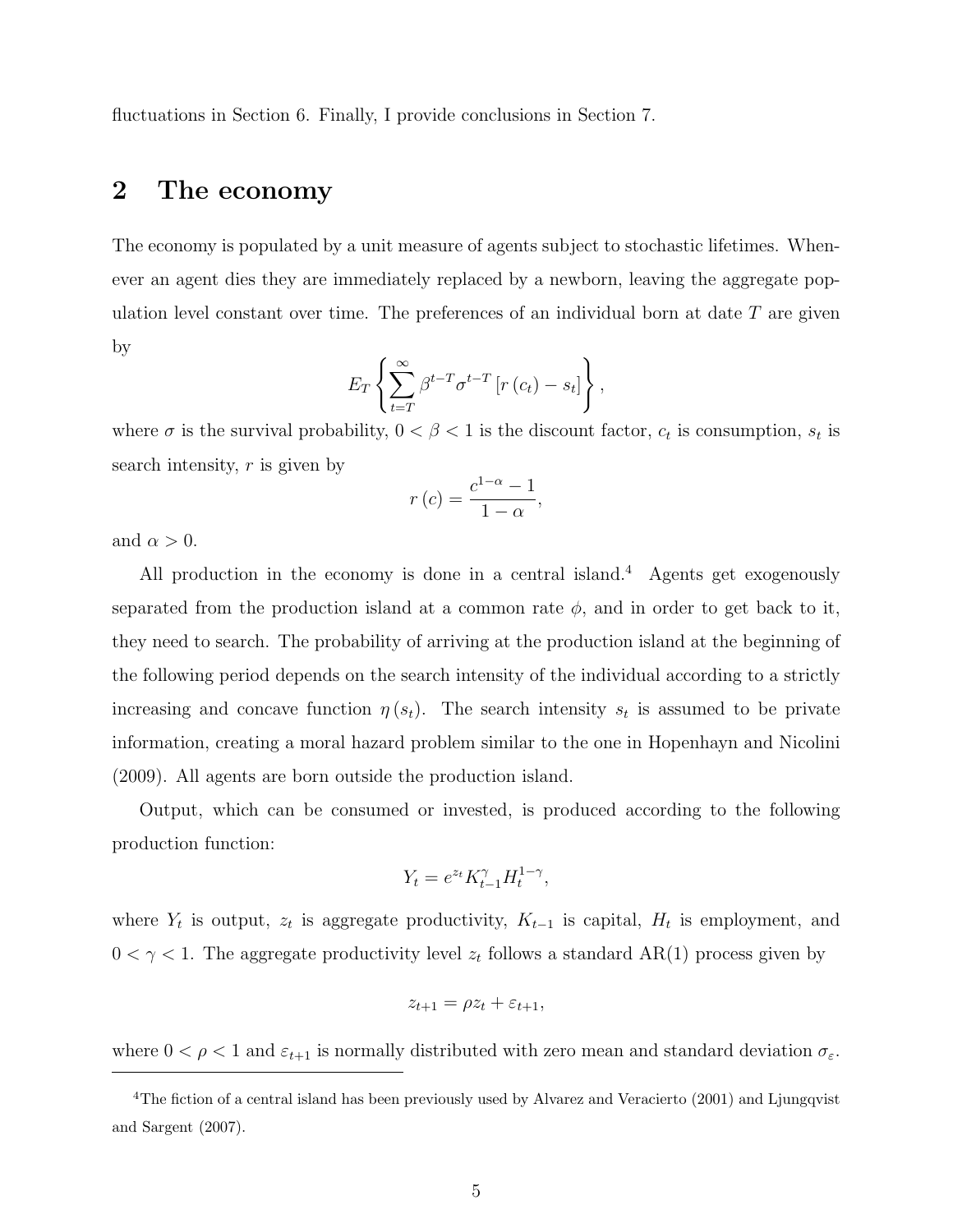fluctuations in Section 6. Finally, I provide conclusions in Section 7.

#### 2 The economy

The economy is populated by a unit measure of agents subject to stochastic lifetimes. Whenever an agent dies they are immediately replaced by a newborn, leaving the aggregate population level constant over time. The preferences of an individual born at date  $T$  are given by

$$
E_T\left\{\sum_{t=T}^{\infty}\beta^{t-T}\sigma^{t-T}\left[r\left(c_t\right)-s_t\right]\right\},\,
$$

where  $\sigma$  is the survival probability,  $0 < \beta < 1$  is the discount factor,  $c_t$  is consumption,  $s_t$  is search intensity,  $r$  is given by

$$
r\left(c\right) = \frac{c^{1-\alpha} - 1}{1 - \alpha},
$$

and  $\alpha > 0$ .

All production in the economy is done in a central island.<sup>4</sup> Agents get exogenously separated from the production island at a common rate  $\phi$ , and in order to get back to it, they need to search. The probability of arriving at the production island at the beginning of the following period depends on the search intensity of the individual according to a strictly increasing and concave function  $\eta(s_t)$ . The search intensity  $s_t$  is assumed to be private information, creating a moral hazard problem similar to the one in Hopenhayn and Nicolini (2009). All agents are born outside the production island.

Output, which can be consumed or invested, is produced according to the following production function:

$$
Y_t = e^{z_t} K_{t-1}^{\gamma} H_t^{1-\gamma},
$$

where  $Y_t$  is output,  $z_t$  is aggregate productivity,  $K_{t-1}$  is capital,  $H_t$  is employment, and  $0 < \gamma < 1$ . The aggregate productivity level  $z_t$  follows a standard AR(1) process given by

$$
z_{t+1} = \rho z_t + \varepsilon_{t+1},
$$

where  $0 < \rho < 1$  and  $\varepsilon_{t+1}$  is normally distributed with zero mean and standard deviation  $\sigma_{\varepsilon}$ .

<sup>&</sup>lt;sup>4</sup>The fiction of a central island has been previously used by Alvarez and Veracierto (2001) and Ljungqvist and Sargent (2007).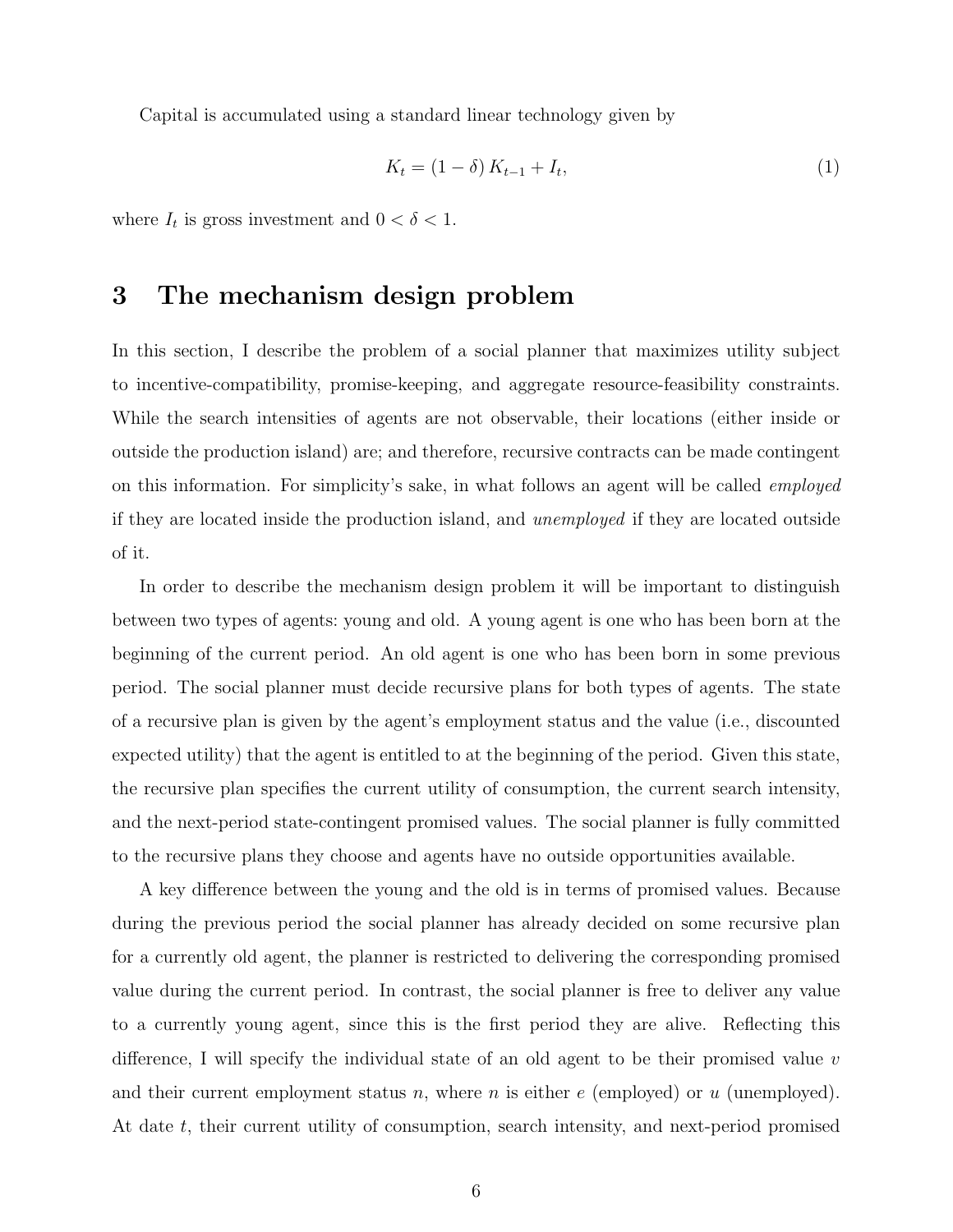Capital is accumulated using a standard linear technology given by

$$
K_t = (1 - \delta) K_{t-1} + I_t,
$$
\n(1)

where  $I_t$  is gross investment and  $0 < \delta < 1$ .

### 3 The mechanism design problem

In this section, I describe the problem of a social planner that maximizes utility subject to incentive-compatibility, promise-keeping, and aggregate resource-feasibility constraints. While the search intensities of agents are not observable, their locations (either inside or outside the production island) are; and therefore, recursive contracts can be made contingent on this information. For simplicity's sake, in what follows an agent will be called employed if they are located inside the production island, and unemployed if they are located outside of it.

In order to describe the mechanism design problem it will be important to distinguish between two types of agents: young and old. A young agent is one who has been born at the beginning of the current period. An old agent is one who has been born in some previous period. The social planner must decide recursive plans for both types of agents. The state of a recursive plan is given by the agent's employment status and the value (i.e., discounted expected utility) that the agent is entitled to at the beginning of the period. Given this state, the recursive plan specifies the current utility of consumption, the current search intensity, and the next-period state-contingent promised values. The social planner is fully committed to the recursive plans they choose and agents have no outside opportunities available.

A key difference between the young and the old is in terms of promised values. Because during the previous period the social planner has already decided on some recursive plan for a currently old agent, the planner is restricted to delivering the corresponding promised value during the current period. In contrast, the social planner is free to deliver any value to a currently young agent, since this is the first period they are alive. Reflecting this difference, I will specify the individual state of an old agent to be their promised value v and their current employment status n, where n is either  $e$  (employed) or u (unemployed). At date t, their current utility of consumption, search intensity, and next-period promised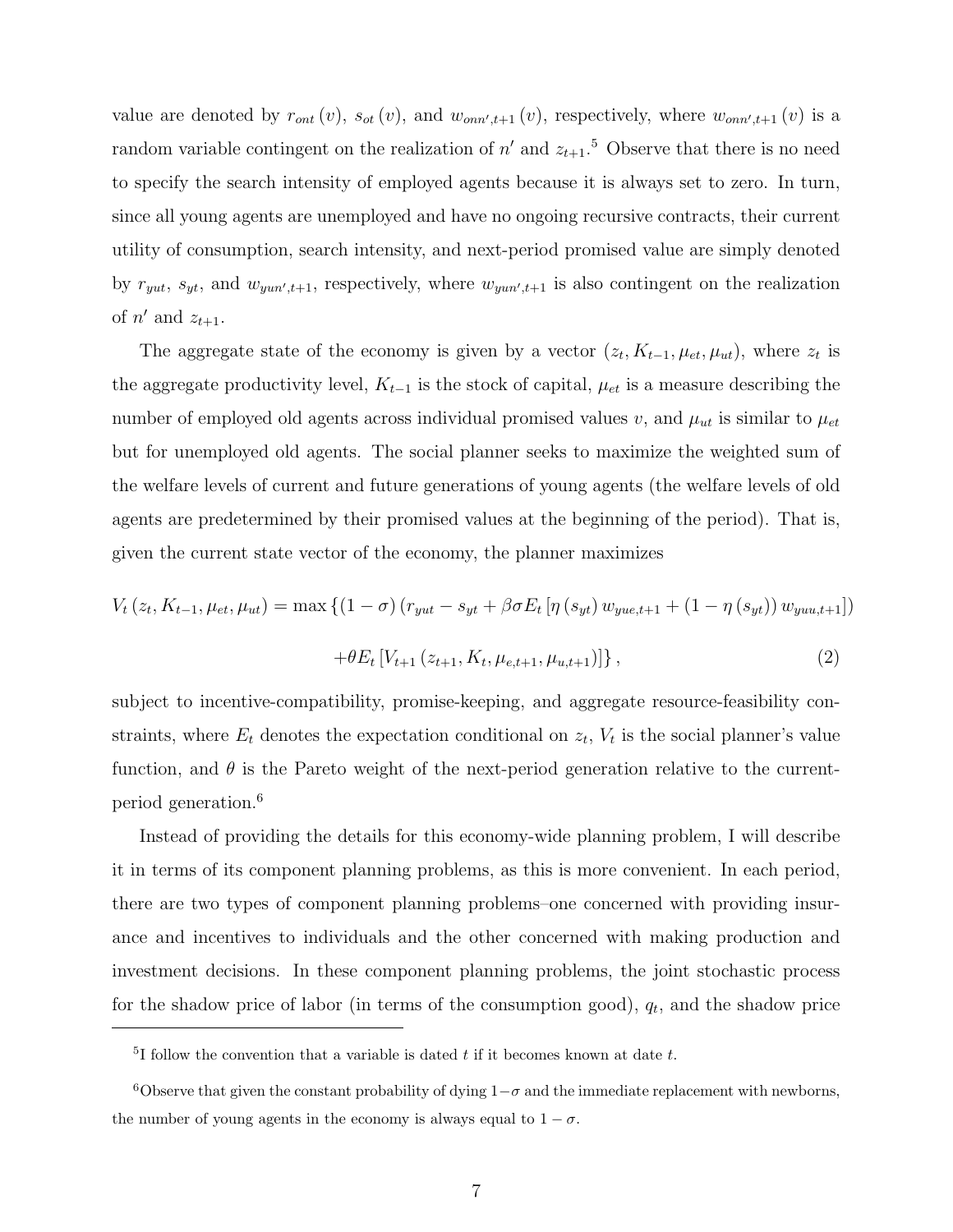value are denoted by  $r_{ont}(v)$ ,  $s_{ot}(v)$ , and  $w_{onn',t+1}(v)$ , respectively, where  $w_{onn',t+1}(v)$  is a random variable contingent on the realization of  $n'$  and  $z_{t+1}$ <sup>5</sup> Observe that there is no need to specify the search intensity of employed agents because it is always set to zero. In turn, since all young agents are unemployed and have no ongoing recursive contracts, their current utility of consumption, search intensity, and next-period promised value are simply denoted by  $r_{yut}$ ,  $s_{yt}$ , and  $w_{yun',t+1}$ , respectively, where  $w_{yun',t+1}$  is also contingent on the realization of  $n'$  and  $z_{t+1}$ .

The aggregate state of the economy is given by a vector  $(z_t, K_{t-1}, \mu_{et}, \mu_{ut})$ , where  $z_t$  is the aggregate productivity level,  $K_{t-1}$  is the stock of capital,  $\mu_{et}$  is a measure describing the number of employed old agents across individual promised values v, and  $\mu_{ut}$  is similar to  $\mu_{et}$ but for unemployed old agents. The social planner seeks to maximize the weighted sum of the welfare levels of current and future generations of young agents (the welfare levels of old agents are predetermined by their promised values at the beginning of the period). That is, given the current state vector of the economy, the planner maximizes

$$
V_{t}(z_{t}, K_{t-1}, \mu_{et}, \mu_{ut}) = \max \left\{ (1 - \sigma) \left( r_{yut} - s_{yt} + \beta \sigma E_{t} \left[ \eta \left( s_{yt} \right) w_{yue, t+1} + (1 - \eta \left( s_{yt} \right) \right) w_{yuu, t+1} \right] \right\}
$$

$$
+ \theta E_{t} \left[ V_{t+1} \left( z_{t+1}, K_{t}, \mu_{e,t+1}, \mu_{u,t+1} \right) \right], \tag{2}
$$

subject to incentive-compatibility, promise-keeping, and aggregate resource-feasibility constraints, where  $E_t$  denotes the expectation conditional on  $z_t$ ,  $V_t$  is the social planner's value function, and  $\theta$  is the Pareto weight of the next-period generation relative to the currentperiod generation.<sup>6</sup>

Instead of providing the details for this economy-wide planning problem, I will describe it in terms of its component planning problems, as this is more convenient. In each period, there are two types of component planning problems–one concerned with providing insurance and incentives to individuals and the other concerned with making production and investment decisions. In these component planning problems, the joint stochastic process for the shadow price of labor (in terms of the consumption good),  $q_t$ , and the shadow price

 $5I$  follow the convention that a variable is dated t if it becomes known at date t.

 $6$ Observe that given the constant probability of dying  $1-\sigma$  and the immediate replacement with newborns, the number of young agents in the economy is always equal to  $1 - \sigma$ .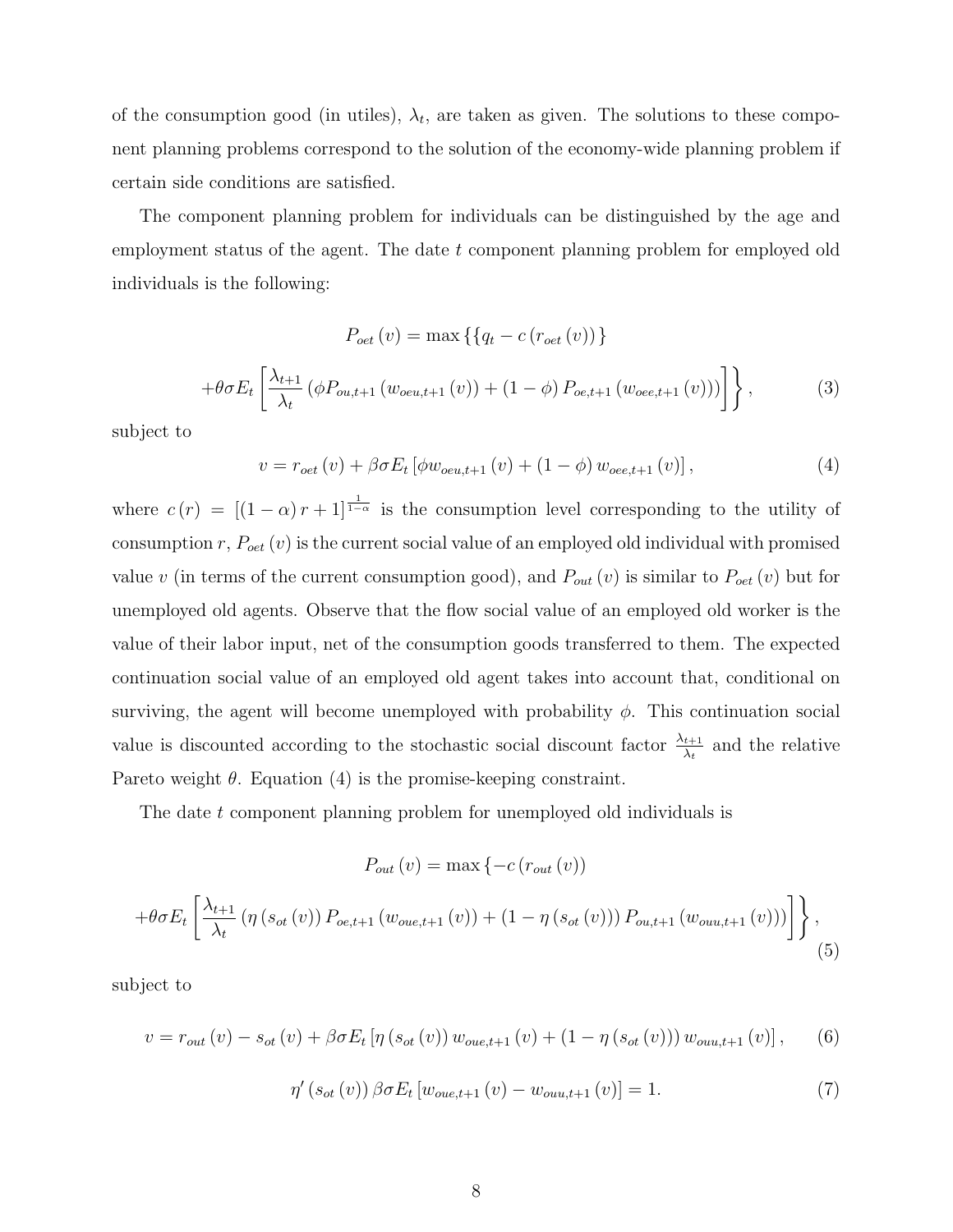of the consumption good (in utiles),  $\lambda_t$ , are taken as given. The solutions to these component planning problems correspond to the solution of the economy-wide planning problem if certain side conditions are satisfied.

The component planning problem for individuals can be distinguished by the age and employment status of the agent. The date t component planning problem for employed old individuals is the following:

$$
P_{oet}(v) = \max \{ \{ q_t - c \left( r_{oet}(v) \right) \} + \theta \sigma E_t \left[ \frac{\lambda_{t+1}}{\lambda_t} \left( \phi P_{ou,t+1} \left( w_{oeu,t+1}(v) \right) + (1 - \phi) P_{oe,t+1} \left( w_{oee,t+1}(v) \right) \right) \right] \},
$$
(3)

subject to

$$
v = r_{oet}(v) + \beta \sigma E_t \left[ \phi w_{oeu, t+1}(v) + (1 - \phi) w_{oee, t+1}(v) \right],
$$
 (4)

where  $c(r) = \left[ (1-\alpha) r + 1 \right]^{\frac{1}{1-\alpha}}$  is the consumption level corresponding to the utility of consumption  $r, P_{oet}(v)$  is the current social value of an employed old individual with promised value v (in terms of the current consumption good), and  $P_{out}(v)$  is similar to  $P_{out}(v)$  but for unemployed old agents. Observe that the flow social value of an employed old worker is the value of their labor input, net of the consumption goods transferred to them. The expected continuation social value of an employed old agent takes into account that, conditional on surviving, the agent will become unemployed with probability  $\phi$ . This continuation social value is discounted according to the stochastic social discount factor  $\frac{\lambda_{t+1}}{\lambda_t}$  and the relative Pareto weight  $\theta$ . Equation (4) is the promise-keeping constraint.

The date t component planning problem for unemployed old individuals is

$$
P_{out}(v) = \max\left\{-c\left(r_{out}(v)\right)\right\}
$$

$$
+ \theta \sigma E_t \left[ \frac{\lambda_{t+1}}{\lambda_t} \left( \eta \left( s_{ot}(v) \right) P_{oe,t+1} \left( w_{oue,t+1}(v) \right) + (1 - \eta \left( s_{ot}(v) \right) \right) P_{ou,t+1} \left( w_{ouu,t+1}(v) \right) \right) \right], \tag{5}
$$

subject to

$$
v = r_{out}(v) - s_{ot}(v) + \beta \sigma E_t \left[ \eta \left( s_{ot}(v) \right) w_{oue,t+1}(v) + (1 - \eta \left( s_{ot}(v) \right) \right) w_{ouu,t+1}(v) \right], \quad (6)
$$

$$
\eta'(s_{ot}(v)) \beta \sigma E_t [w_{oue,t+1}(v) - w_{ouu,t+1}(v)] = 1.
$$
\n(7)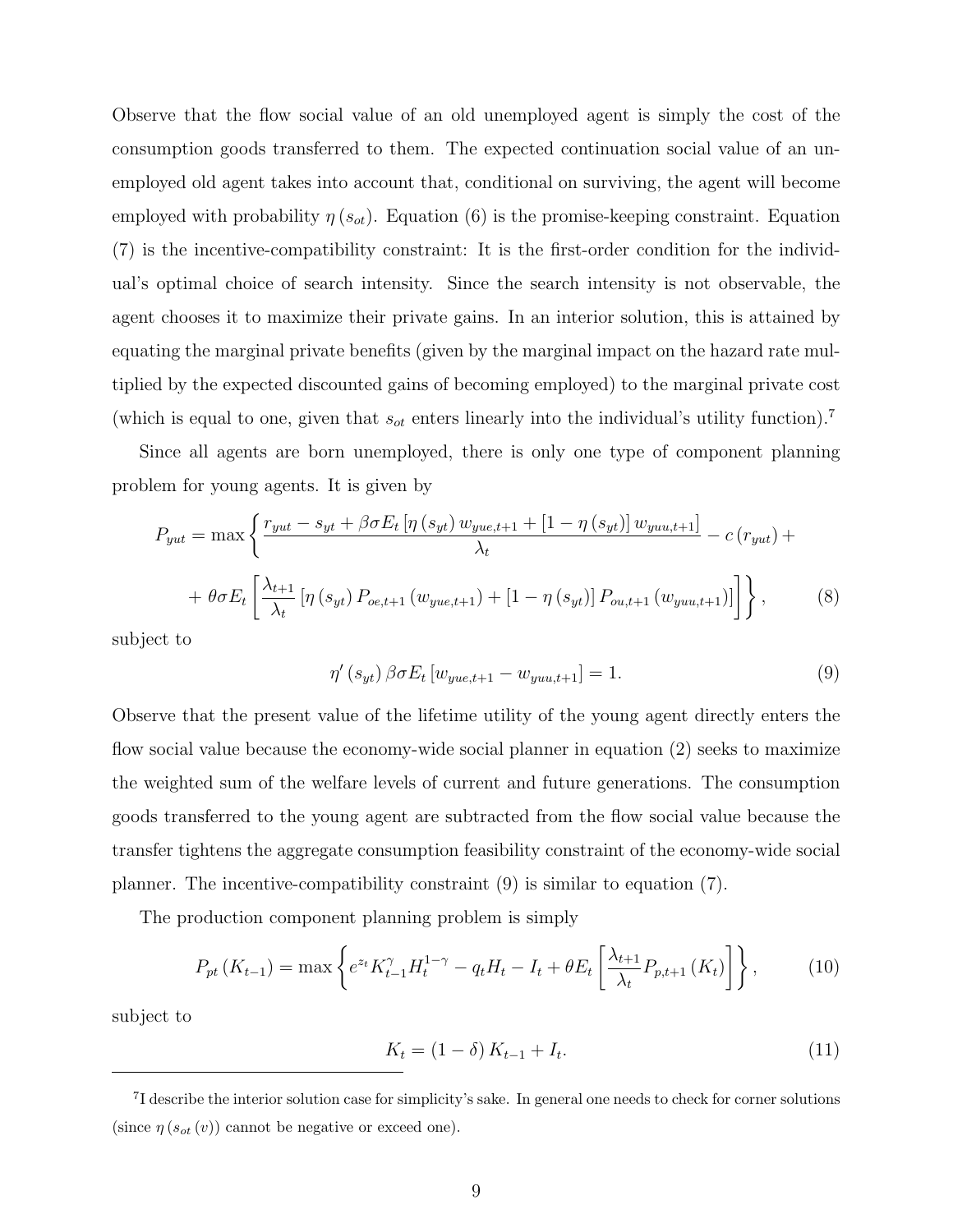Observe that the flow social value of an old unemployed agent is simply the cost of the consumption goods transferred to them. The expected continuation social value of an unemployed old agent takes into account that, conditional on surviving, the agent will become employed with probability  $\eta(s_{ot})$ . Equation (6) is the promise-keeping constraint. Equation (7) is the incentive-compatibility constraint: It is the first-order condition for the individual's optimal choice of search intensity. Since the search intensity is not observable, the agent chooses it to maximize their private gains. In an interior solution, this is attained by equating the marginal private benefits (given by the marginal impact on the hazard rate multiplied by the expected discounted gains of becoming employed) to the marginal private cost (which is equal to one, given that  $s_{ot}$  enters linearly into the individual's utility function).<sup>7</sup>

Since all agents are born unemployed, there is only one type of component planning problem for young agents. It is given by

$$
P_{yut} = \max \left\{ \frac{r_{yut} - s_{yt} + \beta \sigma E_t \left[ \eta \left( s_{yt} \right) w_{yue,t+1} + \left[ 1 - \eta \left( s_{yt} \right) \right] w_{yuu,t+1} \right]}{\lambda_t} - c \left( r_{yut} \right) + \theta \sigma E_t \left[ \frac{\lambda_{t+1}}{\lambda_t} \left[ \eta \left( s_{yt} \right) P_{oe,t+1} \left( w_{yue,t+1} \right) + \left[ 1 - \eta \left( s_{yt} \right) \right] P_{ou,t+1} \left( w_{yuu,t+1} \right) \right] \right] \right\},\tag{8}
$$

subject to

$$
\eta'(s_{yt})\,\beta\sigma E_t\left[w_{yue,t+1} - w_{yuu,t+1}\right] = 1.\tag{9}
$$

Observe that the present value of the lifetime utility of the young agent directly enters the flow social value because the economy-wide social planner in equation (2) seeks to maximize the weighted sum of the welfare levels of current and future generations. The consumption goods transferred to the young agent are subtracted from the flow social value because the transfer tightens the aggregate consumption feasibility constraint of the economy-wide social planner. The incentive-compatibility constraint (9) is similar to equation (7).

The production component planning problem is simply

$$
P_{pt}(K_{t-1}) = \max\left\{e^{z_t}K_{t-1}^{\gamma}H_t^{1-\gamma} - q_tH_t - I_t + \theta E_t\left[\frac{\lambda_{t+1}}{\lambda_t}P_{p,t+1}(K_t)\right]\right\},\qquad(10)
$$

subject to

$$
K_t = (1 - \delta) K_{t-1} + I_t.
$$
\n(11)

<sup>&</sup>lt;sup>7</sup>I describe the interior solution case for simplicity's sake. In general one needs to check for corner solutions (since  $\eta(s_{ot}(v))$  cannot be negative or exceed one).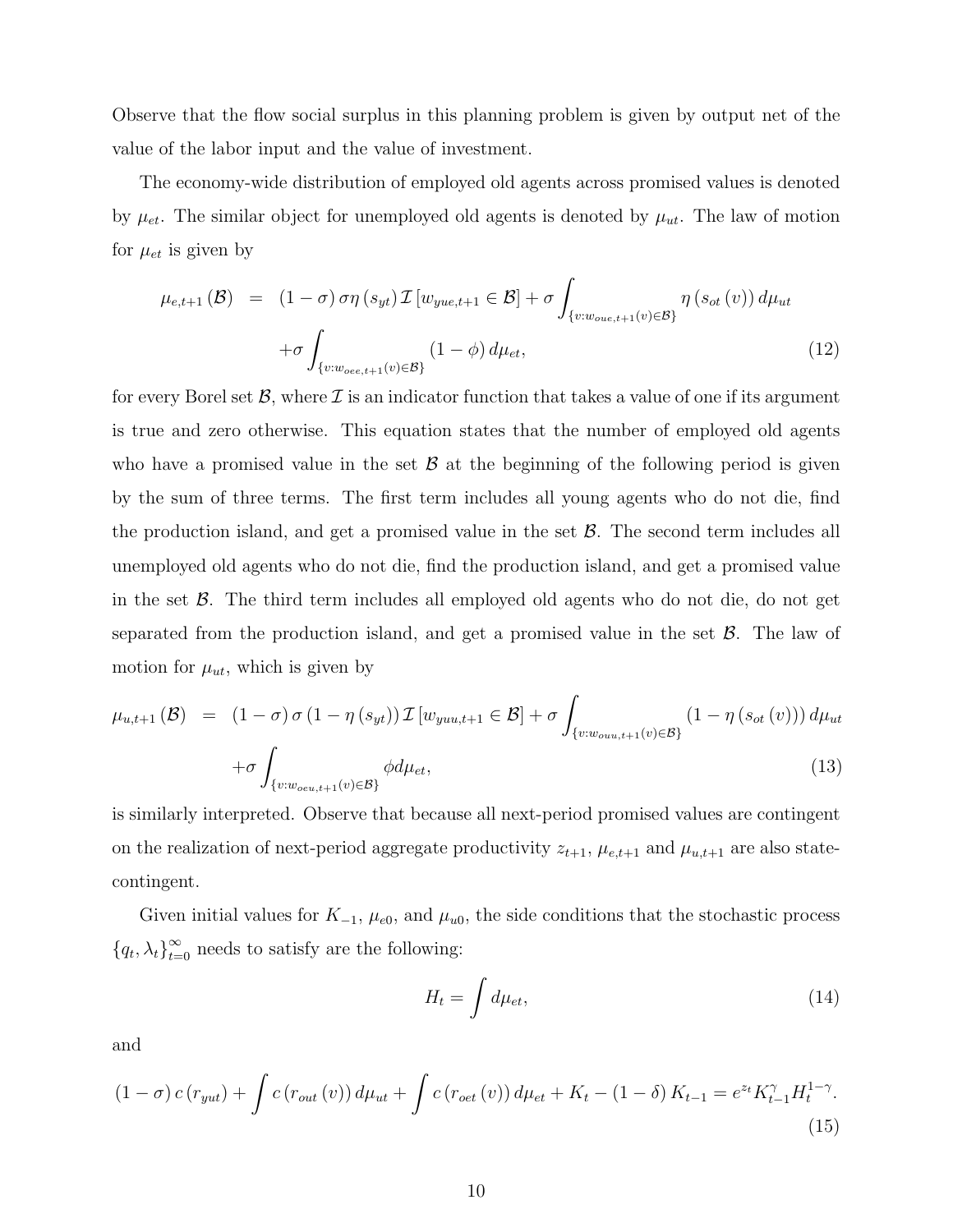Observe that the flow social surplus in this planning problem is given by output net of the value of the labor input and the value of investment.

The economy-wide distribution of employed old agents across promised values is denoted by  $\mu_{et}$ . The similar object for unemployed old agents is denoted by  $\mu_{ut}$ . The law of motion for  $\mu_{et}$  is given by

$$
\mu_{e,t+1}(\mathcal{B}) = (1-\sigma)\sigma\eta(s_{yt})\mathcal{I}[w_{yue,t+1} \in \mathcal{B}] + \sigma \int_{\{v:w_{oue,t+1}(v)\in \mathcal{B}\}} \eta(s_{ot}(v)) d\mu_{ut}
$$

$$
+ \sigma \int_{\{v:w_{oee,t+1}(v)\in \mathcal{B}\}} (1-\phi) d\mu_{et}, \tag{12}
$$

for every Borel set  $\mathcal{B}$ , where  $\mathcal{I}$  is an indicator function that takes a value of one if its argument is true and zero otherwise. This equation states that the number of employed old agents who have a promised value in the set  $\mathcal B$  at the beginning of the following period is given by the sum of three terms. The first term includes all young agents who do not die, find the production island, and get a promised value in the set  $\beta$ . The second term includes all unemployed old agents who do not die, find the production island, and get a promised value in the set  $\beta$ . The third term includes all employed old agents who do not die, do not get separated from the production island, and get a promised value in the set  $\mathcal{B}$ . The law of motion for  $\mu_{ut}$ , which is given by

$$
\mu_{u,t+1}(\mathcal{B}) = (1 - \sigma) \sigma (1 - \eta(s_{yt})) \mathcal{I}[w_{yuu,t+1} \in \mathcal{B}] + \sigma \int_{\{v:w_{ouu,t+1}(v) \in \mathcal{B}\}} (1 - \eta(s_{ot}(v))) d\mu_{ut}
$$

$$
+ \sigma \int_{\{v:w_{ou,t+1}(v) \in \mathcal{B}\}} \phi d\mu_{et}, \tag{13}
$$

is similarly interpreted. Observe that because all next-period promised values are contingent on the realization of next-period aggregate productivity  $z_{t+1}$ ,  $\mu_{e,t+1}$  and  $\mu_{u,t+1}$  are also statecontingent.

Given initial values for  $K_{-1}$ ,  $\mu_{e0}$ , and  $\mu_{u0}$ , the side conditions that the stochastic process  ${q_t, \lambda_t}_{t=0}^{\infty}$  needs to satisfy are the following:

$$
H_t = \int d\mu_{et},\tag{14}
$$

and

$$
(1 - \sigma) c (r_{yut}) + \int c (r_{out}(v)) d\mu_{ut} + \int c (r_{oet}(v)) d\mu_{et} + K_t - (1 - \delta) K_{t-1} = e^{z_t} K_{t-1}^{\gamma} H_t^{1-\gamma}.
$$
\n(15)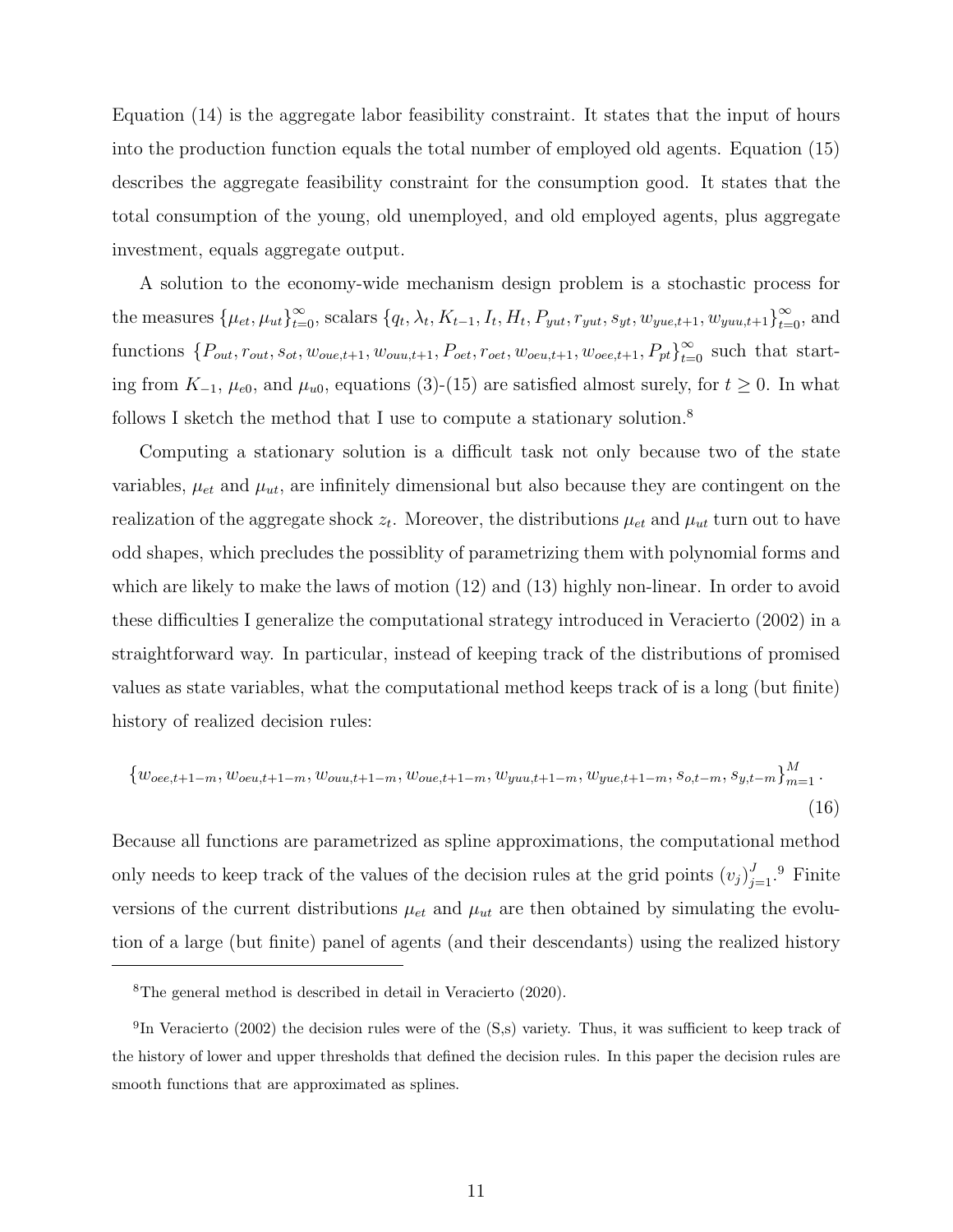Equation (14) is the aggregate labor feasibility constraint. It states that the input of hours into the production function equals the total number of employed old agents. Equation (15) describes the aggregate feasibility constraint for the consumption good. It states that the total consumption of the young, old unemployed, and old employed agents, plus aggregate investment, equals aggregate output.

A solution to the economy-wide mechanism design problem is a stochastic process for the measures  $\{\mu_{et}, \mu_{ut}\}_{t=0}^{\infty}$ , scalars  $\{q_t, \lambda_t, K_{t-1}, I_t, H_t, P_{yut}, r_{yut}, s_{yt}, w_{yue,t+1}, w_{yuu,t+1}\}_{t=0}^{\infty}$ , and functions  $\{P_{out}, r_{out}, s_{ot}, w_{oue,t+1}, w_{ouu,t+1}, P_{oet}, r_{oet}, w_{oeu,t+1}, w_{oee,t+1}, P_{pt}\}_{t=0}^{\infty}$  such that starting from  $K_{-1}$ ,  $\mu_{e0}$ , and  $\mu_{u0}$ , equations (3)-(15) are satisfied almost surely, for  $t \ge 0$ . In what follows I sketch the method that I use to compute a stationary solution.<sup>8</sup>

Computing a stationary solution is a difficult task not only because two of the state variables,  $\mu_{et}$  and  $\mu_{ut}$ , are infinitely dimensional but also because they are contingent on the realization of the aggregate shock  $z_t$ . Moreover, the distributions  $\mu_{et}$  and  $\mu_{ut}$  turn out to have odd shapes, which precludes the possiblity of parametrizing them with polynomial forms and which are likely to make the laws of motion (12) and (13) highly non-linear. In order to avoid these difficulties I generalize the computational strategy introduced in Veracierto (2002) in a straightforward way. In particular, instead of keeping track of the distributions of promised values as state variables, what the computational method keeps track of is a long (but finite) history of realized decision rules:

$$
\{w_{oee,t+1-m}, w_{oeu,t+1-m}, w_{ouu,t+1-m}, w_{oue,t+1-m}, w_{yuu,t+1-m}, w_{yue,t+1-m}, s_{o,t-m}, s_{y,t-m}\}_{m=1}^{M}.
$$
\n(16)

Because all functions are parametrized as spline approximations, the computational method only needs to keep track of the values of the decision rules at the grid points  $(v_j)_{j=1}^J$ .<sup>9</sup> Finite versions of the current distributions  $\mu_{et}$  and  $\mu_{ut}$  are then obtained by simulating the evolution of a large (but finite) panel of agents (and their descendants) using the realized history

<sup>8</sup>The general method is described in detail in Veracierto (2020).

<sup>&</sup>lt;sup>9</sup>In Veracierto (2002) the decision rules were of the (S,s) variety. Thus, it was sufficient to keep track of the history of lower and upper thresholds that defined the decision rules. In this paper the decision rules are smooth functions that are approximated as splines.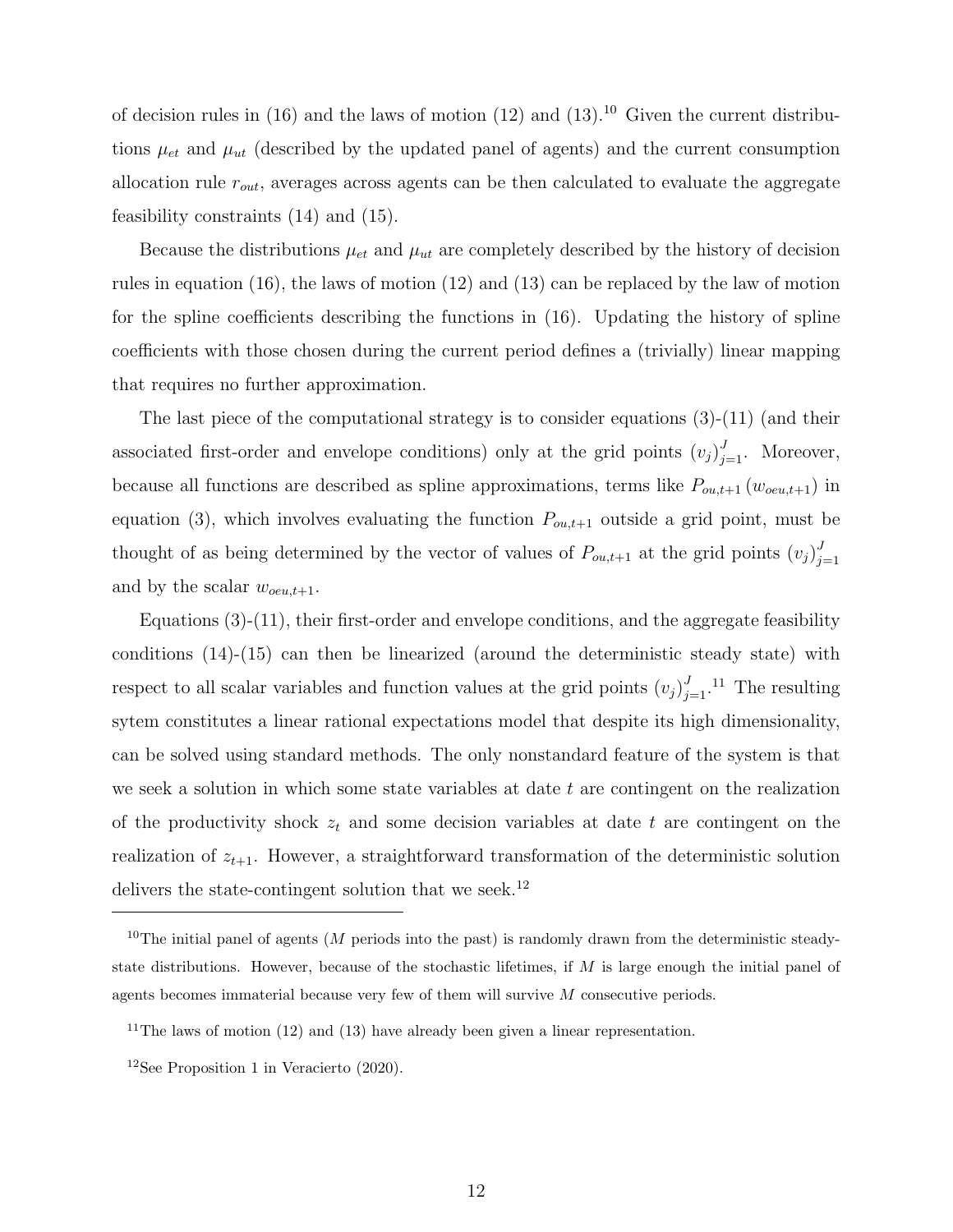of decision rules in  $(16)$  and the laws of motion  $(12)$  and  $(13)$ .<sup>10</sup> Given the current distributions  $\mu_{et}$  and  $\mu_{ut}$  (described by the updated panel of agents) and the current consumption allocation rule  $r_{out}$ , averages across agents can be then calculated to evaluate the aggregate feasibility constraints (14) and (15).

Because the distributions  $\mu_{et}$  and  $\mu_{ut}$  are completely described by the history of decision rules in equation (16), the laws of motion (12) and (13) can be replaced by the law of motion for the spline coefficients describing the functions in (16). Updating the history of spline coefficients with those chosen during the current period defines a (trivially) linear mapping that requires no further approximation.

The last piece of the computational strategy is to consider equations (3)-(11) (and their associated first-order and envelope conditions) only at the grid points  $(v_j)_{j=1}^J$ . Moreover, because all functions are described as spline approximations, terms like  $P_{ou,t+1}(w_{oeu,t+1})$  in equation (3), which involves evaluating the function  $P_{ou,t+1}$  outside a grid point, must be thought of as being determined by the vector of values of  $P_{ou,t+1}$  at the grid points  $(v_j)^{J_i}$  $j=1$ and by the scalar  $w_{oeu,t+1}$ .

Equations (3)-(11), their first-order and envelope conditions, and the aggregate feasibility conditions (14)-(15) can then be linearized (around the deterministic steady state) with respect to all scalar variables and function values at the grid points  $(v_j)_{j=1}^J$ .<sup>11</sup> The resulting sytem constitutes a linear rational expectations model that despite its high dimensionality, can be solved using standard methods. The only nonstandard feature of the system is that we seek a solution in which some state variables at date  $t$  are contingent on the realization of the productivity shock  $z_t$  and some decision variables at date t are contingent on the realization of  $z_{t+1}$ . However, a straightforward transformation of the deterministic solution delivers the state-contingent solution that we seek.<sup>12</sup>

<sup>&</sup>lt;sup>10</sup>The initial panel of agents (M periods into the past) is randomly drawn from the deterministic steadystate distributions. However, because of the stochastic lifetimes, if  $M$  is large enough the initial panel of agents becomes immaterial because very few of them will survive  $M$  consecutive periods.

<sup>&</sup>lt;sup>11</sup>The laws of motion  $(12)$  and  $(13)$  have already been given a linear representation.

<sup>12</sup>See Proposition 1 in Veracierto (2020).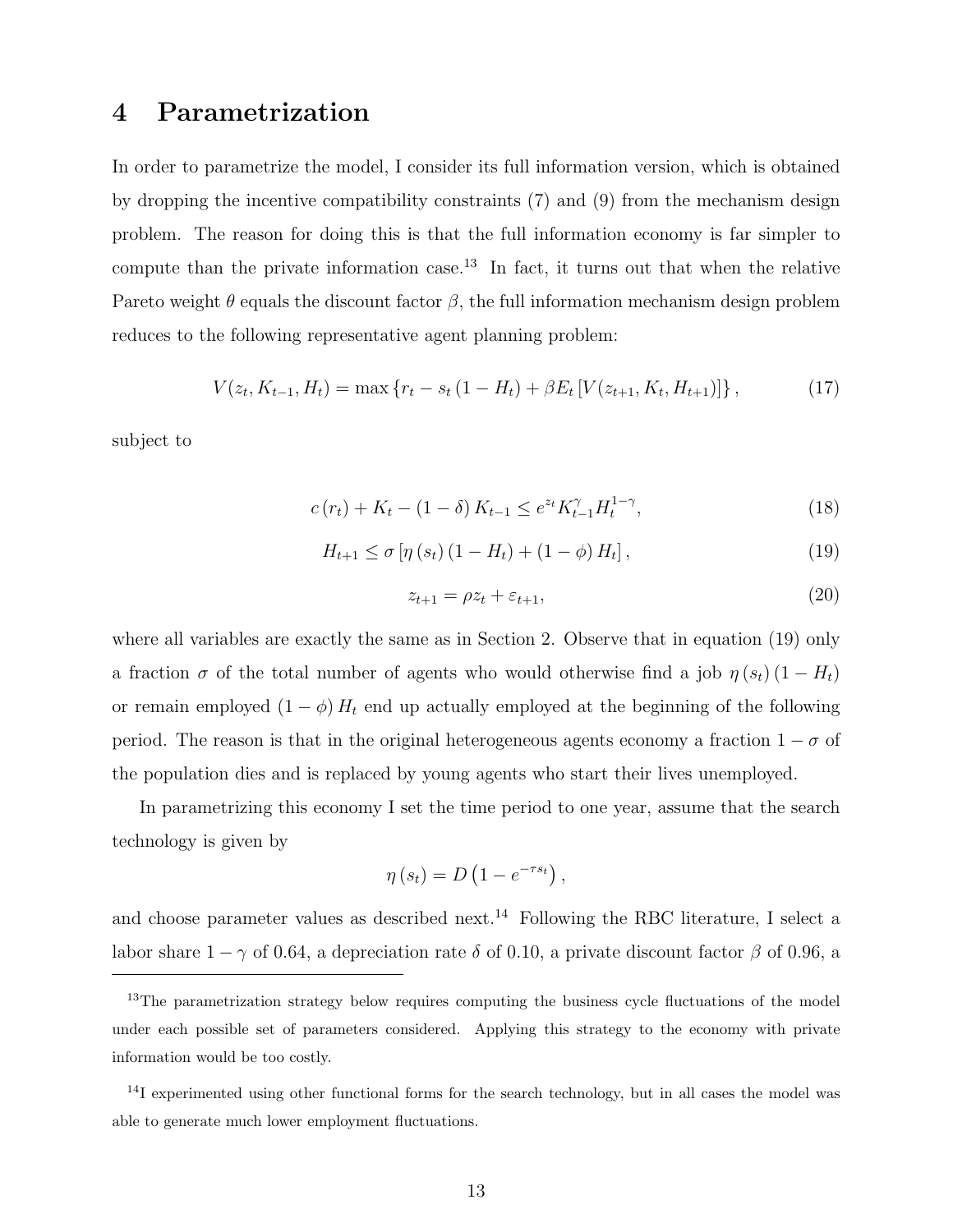#### 4 Parametrization

In order to parametrize the model, I consider its full information version, which is obtained by dropping the incentive compatibility constraints (7) and (9) from the mechanism design problem. The reason for doing this is that the full information economy is far simpler to compute than the private information case.<sup>13</sup> In fact, it turns out that when the relative Pareto weight  $\theta$  equals the discount factor  $\beta$ , the full information mechanism design problem reduces to the following representative agent planning problem:

$$
V(z_t, K_{t-1}, H_t) = \max \left\{ r_t - s_t (1 - H_t) + \beta E_t \left[ V(z_{t+1}, K_t, H_{t+1}) \right] \right\},\tag{17}
$$

subject to

$$
c(r_t) + K_t - (1 - \delta) K_{t-1} \le e^{z_t} K_{t-1}^{\gamma} H_t^{1-\gamma},
$$
\n(18)

$$
H_{t+1} \le \sigma \left[ \eta \left( s_t \right) \left( 1 - H_t \right) + \left( 1 - \phi \right) H_t \right],\tag{19}
$$

$$
z_{t+1} = \rho z_t + \varepsilon_{t+1},\tag{20}
$$

where all variables are exactly the same as in Section 2. Observe that in equation (19) only a fraction  $\sigma$  of the total number of agents who would otherwise find a job  $\eta(s_t) (1 - H_t)$ or remain employed  $(1 - \phi) H_t$  end up actually employed at the beginning of the following period. The reason is that in the original heterogeneous agents economy a fraction  $1 - \sigma$  of the population dies and is replaced by young agents who start their lives unemployed.

In parametrizing this economy I set the time period to one year, assume that the search technology is given by

$$
\eta(s_t) = D\left(1 - e^{-\tau s_t}\right),\,
$$

and choose parameter values as described next.<sup>14</sup> Following the RBC literature, I select a labor share  $1 - \gamma$  of 0.64, a depreciation rate  $\delta$  of 0.10, a private discount factor  $\beta$  of 0.96, a

<sup>&</sup>lt;sup>13</sup>The parametrization strategy below requires computing the business cycle fluctuations of the model under each possible set of parameters considered. Applying this strategy to the economy with private information would be too costly.

<sup>&</sup>lt;sup>14</sup>I experimented using other functional forms for the search technology, but in all cases the model was able to generate much lower employment fluctuations.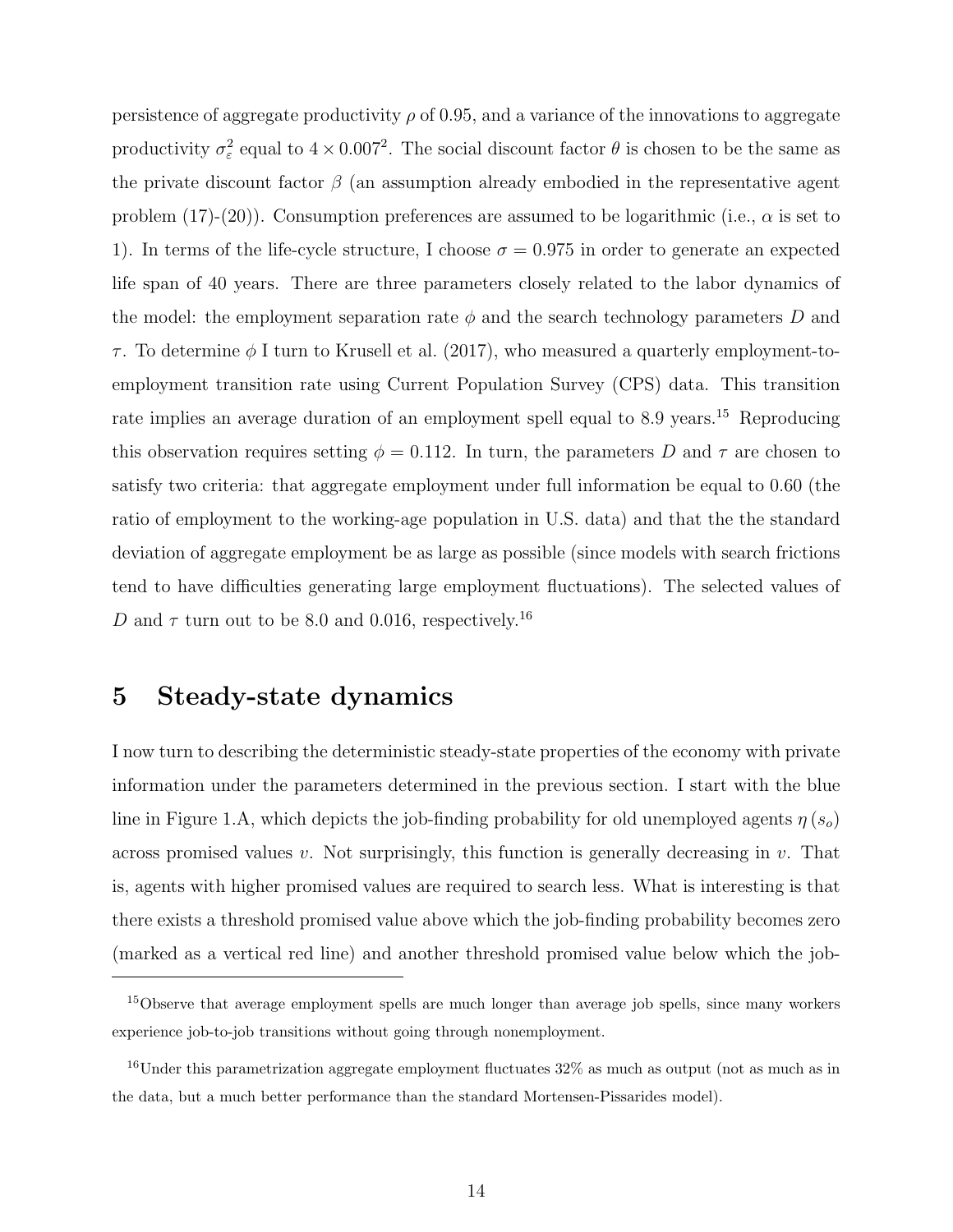persistence of aggregate productivity  $\rho$  of 0.95, and a variance of the innovations to aggregate productivity  $\sigma_{\varepsilon}^2$  equal to  $4 \times 0.007^2$ . The social discount factor  $\theta$  is chosen to be the same as the private discount factor  $\beta$  (an assumption already embodied in the representative agent problem (17)-(20)). Consumption preferences are assumed to be logarithmic (i.e.,  $\alpha$  is set to 1). In terms of the life-cycle structure, I choose  $\sigma = 0.975$  in order to generate an expected life span of 40 years. There are three parameters closely related to the labor dynamics of the model: the employment separation rate  $\phi$  and the search technology parameters D and  $\tau$ . To determine  $\phi$  I turn to Krusell et al. (2017), who measured a quarterly employment-toemployment transition rate using Current Population Survey (CPS) data. This transition rate implies an average duration of an employment spell equal to 8.9 years.<sup>15</sup> Reproducing this observation requires setting  $\phi = 0.112$ . In turn, the parameters D and  $\tau$  are chosen to satisfy two criteria: that aggregate employment under full information be equal to 0.60 (the ratio of employment to the working-age population in U.S. data) and that the the standard deviation of aggregate employment be as large as possible (since models with search frictions tend to have difficulties generating large employment fluctuations). The selected values of D and  $\tau$  turn out to be 8.0 and 0.016, respectively.<sup>16</sup>

#### 5 Steady-state dynamics

I now turn to describing the deterministic steady-state properties of the economy with private information under the parameters determined in the previous section. I start with the blue line in Figure 1.A, which depicts the job-finding probability for old unemployed agents  $\eta(s_o)$ across promised values v. Not surprisingly, this function is generally decreasing in v. That is, agents with higher promised values are required to search less. What is interesting is that there exists a threshold promised value above which the job-finding probability becomes zero (marked as a vertical red line) and another threshold promised value below which the job-

<sup>&</sup>lt;sup>15</sup>Observe that average employment spells are much longer than average job spells, since many workers experience job-to-job transitions without going through nonemployment.

 $16$ Under this parametrization aggregate employment fluctuates  $32\%$  as much as output (not as much as in the data, but a much better performance than the standard Mortensen-Pissarides model).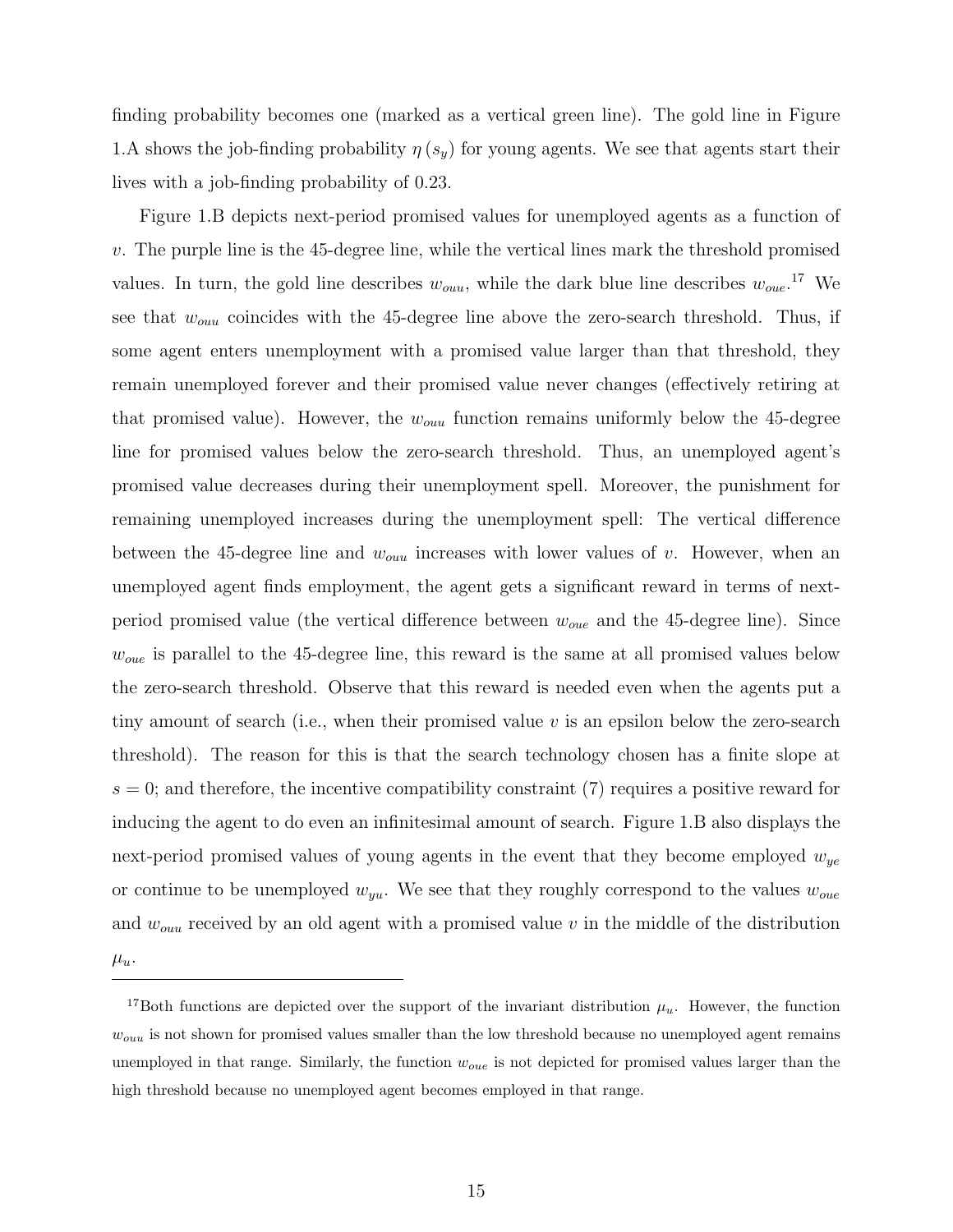finding probability becomes one (marked as a vertical green line). The gold line in Figure 1.A shows the job-finding probability  $\eta(s_y)$  for young agents. We see that agents start their lives with a job-finding probability of 0.23.

Figure 1.B depicts next-period promised values for unemployed agents as a function of v. The purple line is the 45-degree line, while the vertical lines mark the threshold promised values. In turn, the gold line describes  $w_{ouu}$ , while the dark blue line describes  $w_{ouu}$ <sup>17</sup> We see that  $w_{ouu}$  coincides with the 45-degree line above the zero-search threshold. Thus, if some agent enters unemployment with a promised value larger than that threshold, they remain unemployed forever and their promised value never changes (effectively retiring at that promised value). However, the  $w_{\text{out}}$  function remains uniformly below the 45-degree line for promised values below the zero-search threshold. Thus, an unemployed agent's promised value decreases during their unemployment spell. Moreover, the punishment for remaining unemployed increases during the unemployment spell: The vertical difference between the 45-degree line and  $w_{\text{out}}$  increases with lower values of v. However, when an unemployed agent finds employment, the agent gets a significant reward in terms of nextperiod promised value (the vertical difference between  $w_{oue}$  and the 45-degree line). Since  $w_{oue}$  is parallel to the 45-degree line, this reward is the same at all promised values below the zero-search threshold. Observe that this reward is needed even when the agents put a tiny amount of search (i.e., when their promised value  $v$  is an epsilon below the zero-search threshold). The reason for this is that the search technology chosen has a finite slope at  $s = 0$ ; and therefore, the incentive compatibility constraint (7) requires a positive reward for inducing the agent to do even an infinitesimal amount of search. Figure 1.B also displays the next-period promised values of young agents in the event that they become employed  $w_{ue}$ or continue to be unemployed  $w_{yu}$ . We see that they roughly correspond to the values  $w_{oue}$ and  $w_{ouu}$  received by an old agent with a promised value  $v$  in the middle of the distribution

 $\mu_u$ .

<sup>&</sup>lt;sup>17</sup>Both functions are depicted over the support of the invariant distribution  $\mu_u$ . However, the function  $w_{ouu}$  is not shown for promised values smaller than the low threshold because no unemployed agent remains unemployed in that range. Similarly, the function  $w_{oue}$  is not depicted for promised values larger than the high threshold because no unemployed agent becomes employed in that range.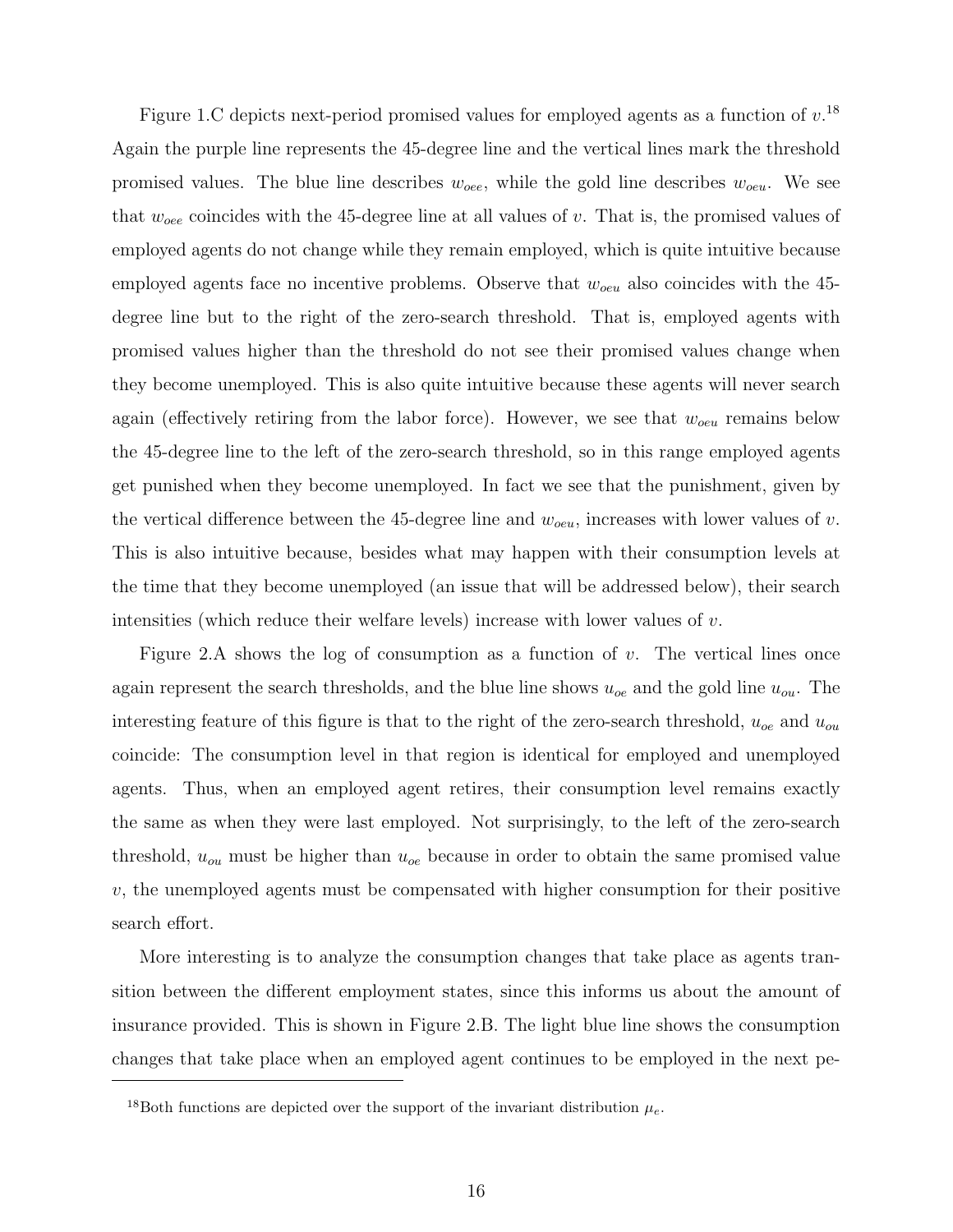Figure 1.C depicts next-period promised values for employed agents as a function of  $v^{18}$ . Again the purple line represents the 45-degree line and the vertical lines mark the threshold promised values. The blue line describes  $w_{oee}$ , while the gold line describes  $w_{oeu}$ . We see that  $w_{oee}$  coincides with the 45-degree line at all values of v. That is, the promised values of employed agents do not change while they remain employed, which is quite intuitive because employed agents face no incentive problems. Observe that  $w_{oeu}$  also coincides with the 45degree line but to the right of the zero-search threshold. That is, employed agents with promised values higher than the threshold do not see their promised values change when they become unemployed. This is also quite intuitive because these agents will never search again (effectively retiring from the labor force). However, we see that  $w_{oeu}$  remains below the 45-degree line to the left of the zero-search threshold, so in this range employed agents get punished when they become unemployed. In fact we see that the punishment, given by the vertical difference between the 45-degree line and  $w_{oeu}$ , increases with lower values of v. This is also intuitive because, besides what may happen with their consumption levels at the time that they become unemployed (an issue that will be addressed below), their search intensities (which reduce their welfare levels) increase with lower values of  $v$ .

Figure 2.A shows the log of consumption as a function of  $v$ . The vertical lines once again represent the search thresholds, and the blue line shows  $u_{oe}$  and the gold line  $u_{ou}$ . The interesting feature of this figure is that to the right of the zero-search threshold,  $u_{oe}$  and  $u_{ou}$ coincide: The consumption level in that region is identical for employed and unemployed agents. Thus, when an employed agent retires, their consumption level remains exactly the same as when they were last employed. Not surprisingly, to the left of the zero-search threshold,  $u_{\alpha}$  must be higher than  $u_{\alpha}$  because in order to obtain the same promised value  $v$ , the unemployed agents must be compensated with higher consumption for their positive search effort.

More interesting is to analyze the consumption changes that take place as agents transition between the different employment states, since this informs us about the amount of insurance provided. This is shown in Figure 2.B. The light blue line shows the consumption changes that take place when an employed agent continues to be employed in the next pe-

<sup>&</sup>lt;sup>18</sup>Both functions are depicted over the support of the invariant distribution  $\mu_e$ .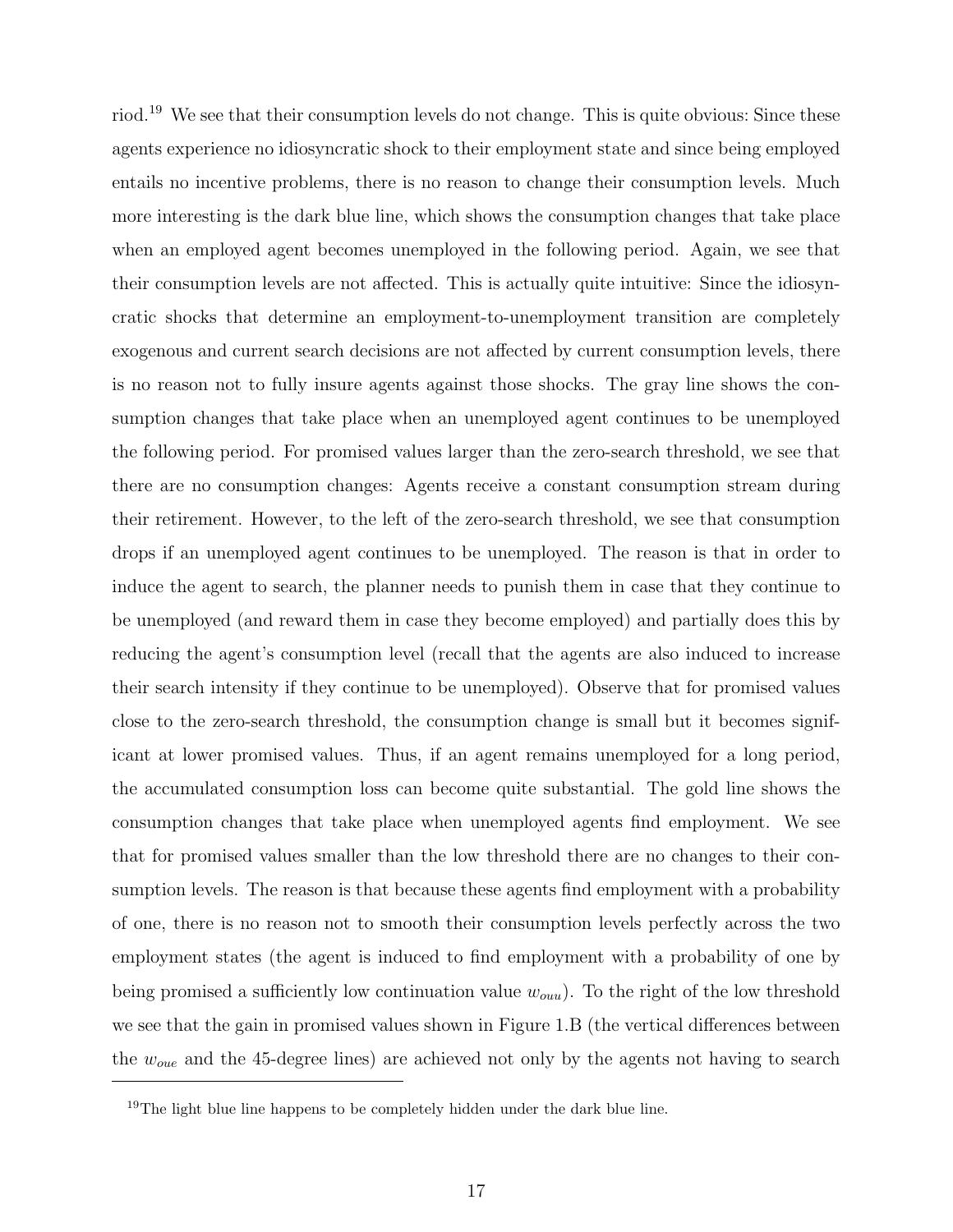riod.<sup>19</sup> We see that their consumption levels do not change. This is quite obvious: Since these agents experience no idiosyncratic shock to their employment state and since being employed entails no incentive problems, there is no reason to change their consumption levels. Much more interesting is the dark blue line, which shows the consumption changes that take place when an employed agent becomes unemployed in the following period. Again, we see that their consumption levels are not affected. This is actually quite intuitive: Since the idiosyncratic shocks that determine an employment-to-unemployment transition are completely exogenous and current search decisions are not affected by current consumption levels, there is no reason not to fully insure agents against those shocks. The gray line shows the consumption changes that take place when an unemployed agent continues to be unemployed the following period. For promised values larger than the zero-search threshold, we see that there are no consumption changes: Agents receive a constant consumption stream during their retirement. However, to the left of the zero-search threshold, we see that consumption drops if an unemployed agent continues to be unemployed. The reason is that in order to induce the agent to search, the planner needs to punish them in case that they continue to be unemployed (and reward them in case they become employed) and partially does this by reducing the agent's consumption level (recall that the agents are also induced to increase their search intensity if they continue to be unemployed). Observe that for promised values close to the zero-search threshold, the consumption change is small but it becomes significant at lower promised values. Thus, if an agent remains unemployed for a long period, the accumulated consumption loss can become quite substantial. The gold line shows the consumption changes that take place when unemployed agents find employment. We see that for promised values smaller than the low threshold there are no changes to their consumption levels. The reason is that because these agents find employment with a probability of one, there is no reason not to smooth their consumption levels perfectly across the two employment states (the agent is induced to find employment with a probability of one by being promised a sufficiently low continuation value  $w_{ouu}$ ). To the right of the low threshold we see that the gain in promised values shown in Figure 1.B (the vertical differences between the  $w_{oue}$  and the 45-degree lines) are achieved not only by the agents not having to search

<sup>&</sup>lt;sup>19</sup>The light blue line happens to be completely hidden under the dark blue line.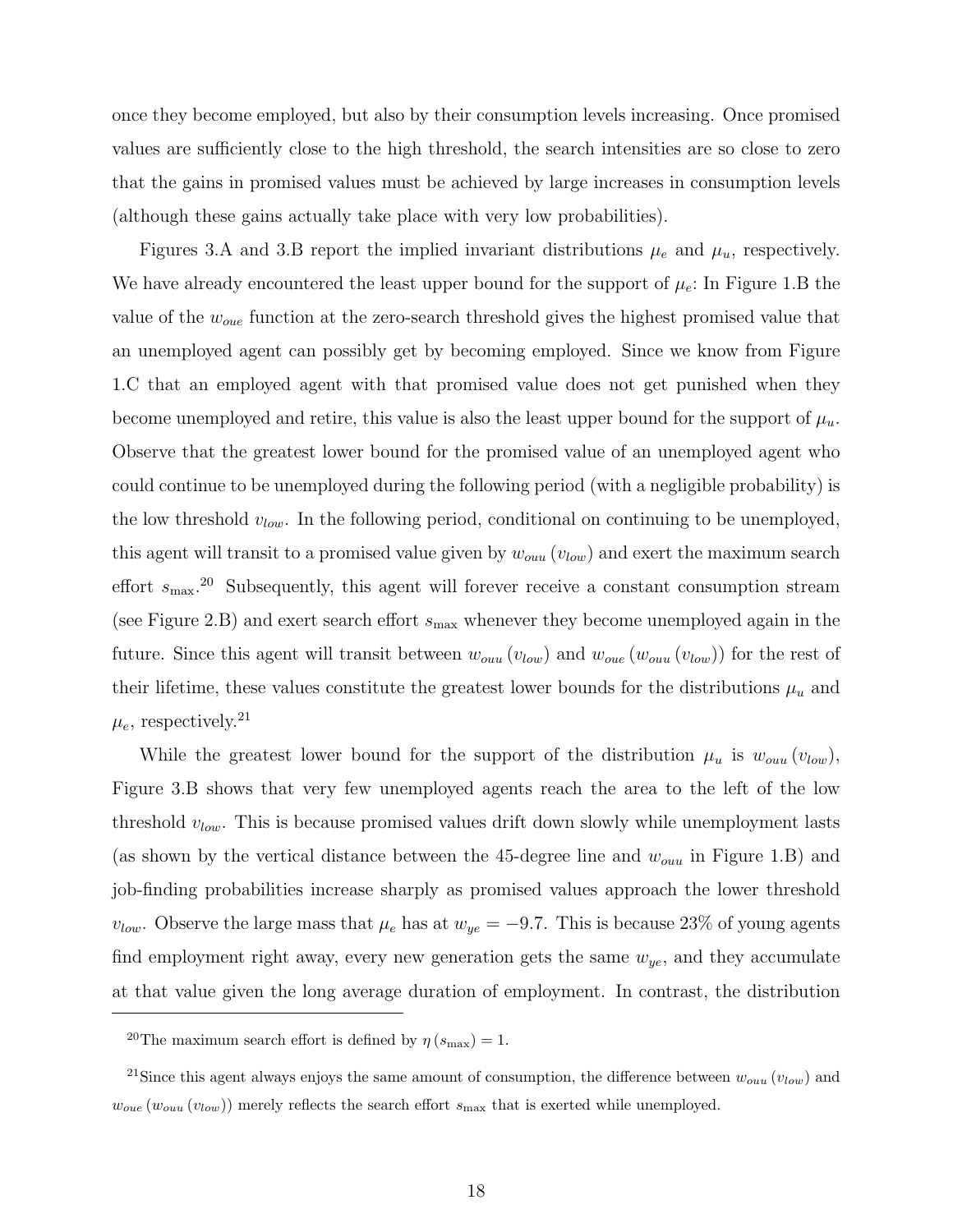once they become employed, but also by their consumption levels increasing. Once promised values are sufficiently close to the high threshold, the search intensities are so close to zero that the gains in promised values must be achieved by large increases in consumption levels (although these gains actually take place with very low probabilities).

Figures 3.A and 3.B report the implied invariant distributions  $\mu_e$  and  $\mu_u$ , respectively. We have already encountered the least upper bound for the support of  $\mu_e$ : In Figure 1.B the value of the  $w_{oue}$  function at the zero-search threshold gives the highest promised value that an unemployed agent can possibly get by becoming employed. Since we know from Figure 1.C that an employed agent with that promised value does not get punished when they become unemployed and retire, this value is also the least upper bound for the support of  $\mu_u$ . Observe that the greatest lower bound for the promised value of an unemployed agent who could continue to be unemployed during the following period (with a negligible probability) is the low threshold  $v_{low}$ . In the following period, conditional on continuing to be unemployed, this agent will transit to a promised value given by  $w_{ouu}$  ( $v_{low}$ ) and exert the maximum search effort  $s_{\text{max}}^{20}$  Subsequently, this agent will forever receive a constant consumption stream (see Figure 2.B) and exert search effort  $s_{\text{max}}$  whenever they become unemployed again in the future. Since this agent will transit between  $w_{ouu}(v_{low})$  and  $w_{oue}(w_{ouu}(v_{low}))$  for the rest of their lifetime, these values constitute the greatest lower bounds for the distributions  $\mu_u$  and  $\mu_e$ , respectively.<sup>21</sup>

While the greatest lower bound for the support of the distribution  $\mu_u$  is  $w_{ouu}(v_{low})$ , Figure 3.B shows that very few unemployed agents reach the area to the left of the low threshold  $v_{low}$ . This is because promised values drift down slowly while unemployment lasts (as shown by the vertical distance between the 45-degree line and  $w_{ouu}$  in Figure 1.B) and job-finding probabilities increase sharply as promised values approach the lower threshold  $v_{low}$ . Observe the large mass that  $\mu_e$  has at  $w_{ye} = -9.7$ . This is because 23% of young agents find employment right away, every new generation gets the same  $w_{ye}$ , and they accumulate at that value given the long average duration of employment. In contrast, the distribution

<sup>&</sup>lt;sup>20</sup>The maximum search effort is defined by  $\eta(s_{\text{max}}) = 1$ .

<sup>&</sup>lt;sup>21</sup>Since this agent always enjoys the same amount of consumption, the difference between  $w_{ouu} (v_{low})$  and  $w_{oue} (w_{ouu} (v_{low}))$  merely reflects the search effort  $s_{\text{max}}$  that is exerted while unemployed.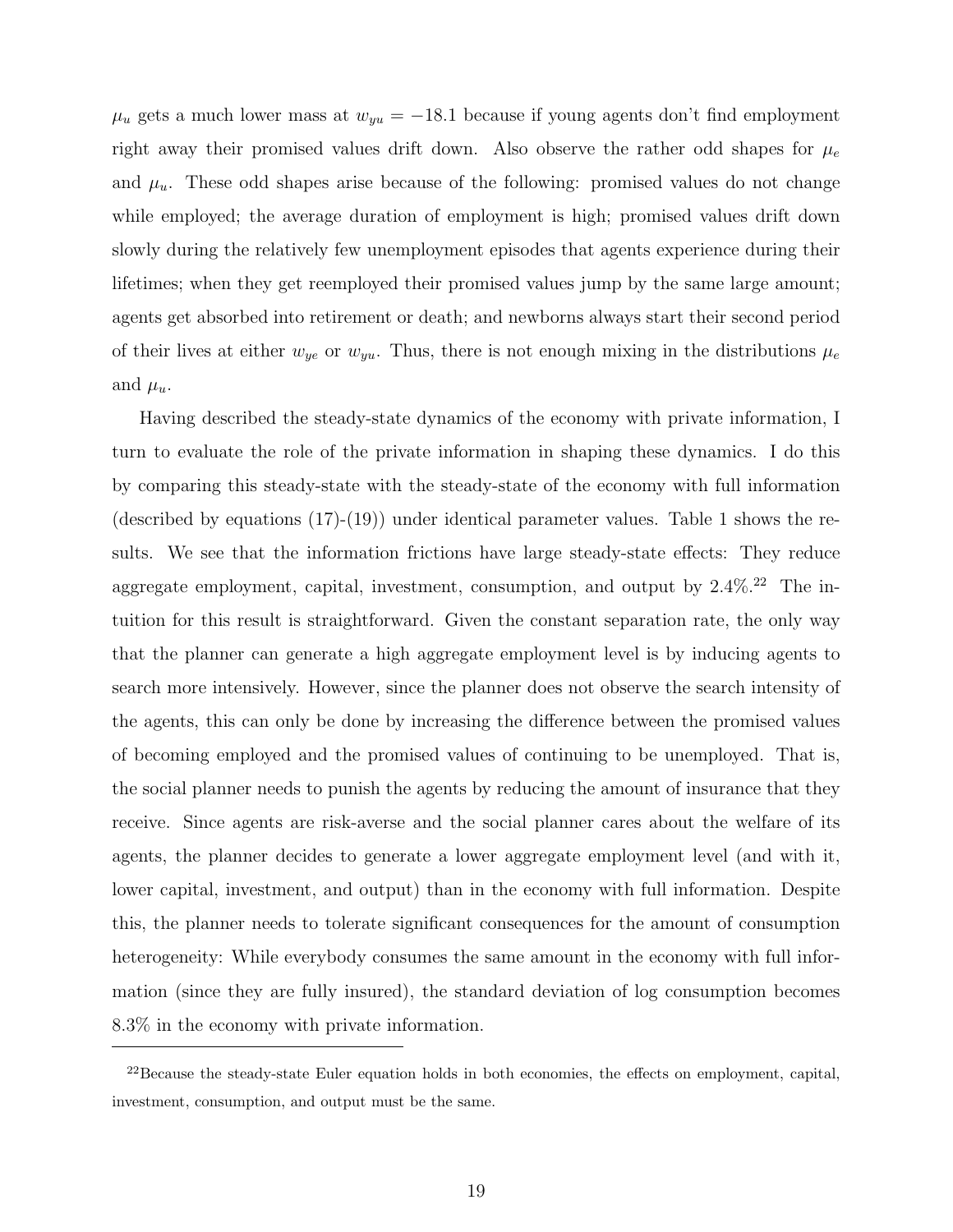$\mu_u$  gets a much lower mass at  $w_{yu} = -18.1$  because if young agents don't find employment right away their promised values drift down. Also observe the rather odd shapes for  $\mu_e$ and  $\mu_u$ . These odd shapes arise because of the following: promised values do not change while employed; the average duration of employment is high; promised values drift down slowly during the relatively few unemployment episodes that agents experience during their lifetimes; when they get reemployed their promised values jump by the same large amount; agents get absorbed into retirement or death; and newborns always start their second period of their lives at either  $w_{ye}$  or  $w_{yu}$ . Thus, there is not enough mixing in the distributions  $\mu_e$ and  $\mu_u$ .

Having described the steady-state dynamics of the economy with private information, I turn to evaluate the role of the private information in shaping these dynamics. I do this by comparing this steady-state with the steady-state of the economy with full information (described by equations (17)-(19)) under identical parameter values. Table 1 shows the results. We see that the information frictions have large steady-state effects: They reduce aggregate employment, capital, investment, consumption, and output by  $2.4\%$ .<sup>22</sup> The intuition for this result is straightforward. Given the constant separation rate, the only way that the planner can generate a high aggregate employment level is by inducing agents to search more intensively. However, since the planner does not observe the search intensity of the agents, this can only be done by increasing the difference between the promised values of becoming employed and the promised values of continuing to be unemployed. That is, the social planner needs to punish the agents by reducing the amount of insurance that they receive. Since agents are risk-averse and the social planner cares about the welfare of its agents, the planner decides to generate a lower aggregate employment level (and with it, lower capital, investment, and output) than in the economy with full information. Despite this, the planner needs to tolerate significant consequences for the amount of consumption heterogeneity: While everybody consumes the same amount in the economy with full information (since they are fully insured), the standard deviation of log consumption becomes 8.3% in the economy with private information.

 $^{22}$ Because the steady-state Euler equation holds in both economies, the effects on employment, capital, investment, consumption, and output must be the same.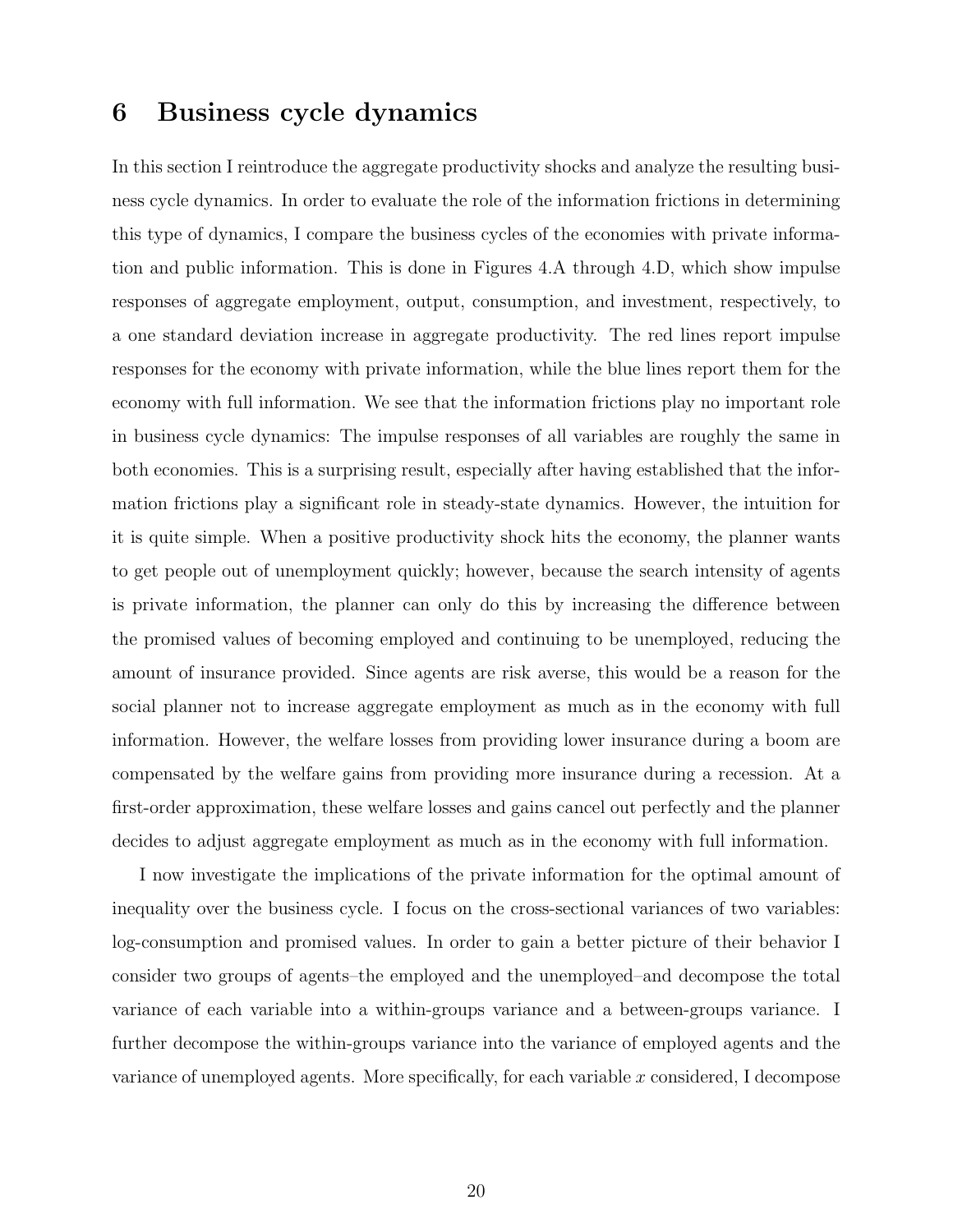#### 6 Business cycle dynamics

In this section I reintroduce the aggregate productivity shocks and analyze the resulting business cycle dynamics. In order to evaluate the role of the information frictions in determining this type of dynamics, I compare the business cycles of the economies with private information and public information. This is done in Figures 4.A through 4.D, which show impulse responses of aggregate employment, output, consumption, and investment, respectively, to a one standard deviation increase in aggregate productivity. The red lines report impulse responses for the economy with private information, while the blue lines report them for the economy with full information. We see that the information frictions play no important role in business cycle dynamics: The impulse responses of all variables are roughly the same in both economies. This is a surprising result, especially after having established that the information frictions play a significant role in steady-state dynamics. However, the intuition for it is quite simple. When a positive productivity shock hits the economy, the planner wants to get people out of unemployment quickly; however, because the search intensity of agents is private information, the planner can only do this by increasing the difference between the promised values of becoming employed and continuing to be unemployed, reducing the amount of insurance provided. Since agents are risk averse, this would be a reason for the social planner not to increase aggregate employment as much as in the economy with full information. However, the welfare losses from providing lower insurance during a boom are compensated by the welfare gains from providing more insurance during a recession. At a first-order approximation, these welfare losses and gains cancel out perfectly and the planner decides to adjust aggregate employment as much as in the economy with full information.

I now investigate the implications of the private information for the optimal amount of inequality over the business cycle. I focus on the cross-sectional variances of two variables: log-consumption and promised values. In order to gain a better picture of their behavior I consider two groups of agents–the employed and the unemployed–and decompose the total variance of each variable into a within-groups variance and a between-groups variance. I further decompose the within-groups variance into the variance of employed agents and the variance of unemployed agents. More specifically, for each variable x considered, I decompose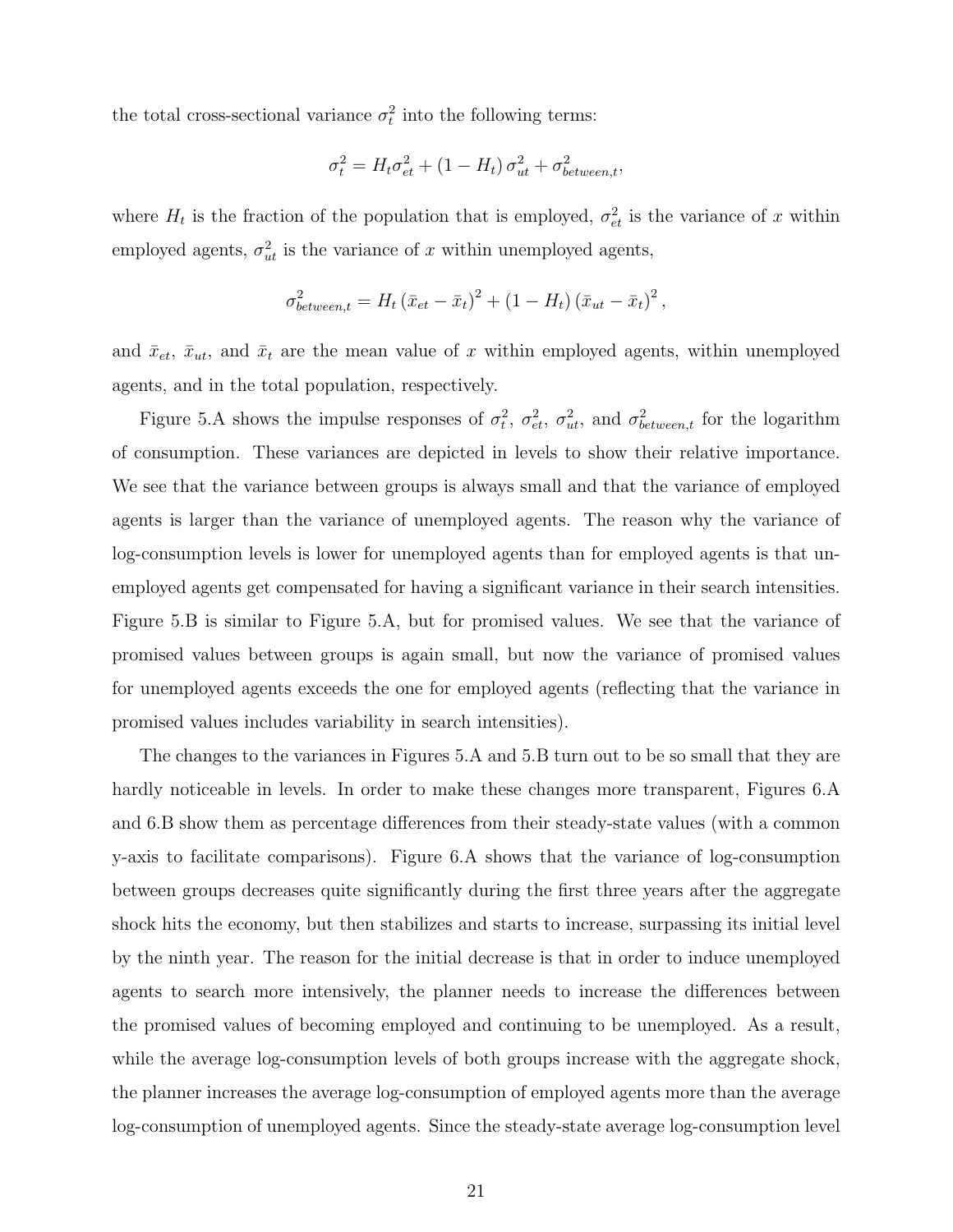the total cross-sectional variance  $\sigma_t^2$  into the following terms:

$$
\sigma_t^2 = H_t \sigma_{et}^2 + (1 - H_t) \sigma_{ut}^2 + \sigma_{between,t}^2,
$$

where  $H_t$  is the fraction of the population that is employed,  $\sigma_{et}^2$  is the variance of x within employed agents,  $\sigma_{ut}^2$  is the variance of x within unemployed agents,

$$
\sigma_{between,t}^2 = H_t \left(\bar{x}_{et} - \bar{x}_t\right)^2 + \left(1 - H_t\right) \left(\bar{x}_{ut} - \bar{x}_t\right)^2,
$$

and  $\bar{x}_{et}$ ,  $\bar{x}_{ut}$ , and  $\bar{x}_t$  are the mean value of x within employed agents, within unemployed agents, and in the total population, respectively.

Figure 5.A shows the impulse responses of  $\sigma_t^2$ ,  $\sigma_{et}^2$ ,  $\sigma_{ut}^2$ , and  $\sigma_{between,t}^2$  for the logarithm of consumption. These variances are depicted in levels to show their relative importance. We see that the variance between groups is always small and that the variance of employed agents is larger than the variance of unemployed agents. The reason why the variance of log-consumption levels is lower for unemployed agents than for employed agents is that unemployed agents get compensated for having a significant variance in their search intensities. Figure 5.B is similar to Figure 5.A, but for promised values. We see that the variance of promised values between groups is again small, but now the variance of promised values for unemployed agents exceeds the one for employed agents (reflecting that the variance in promised values includes variability in search intensities).

The changes to the variances in Figures 5.A and 5.B turn out to be so small that they are hardly noticeable in levels. In order to make these changes more transparent, Figures 6.A and 6.B show them as percentage differences from their steady-state values (with a common y-axis to facilitate comparisons). Figure 6.A shows that the variance of log-consumption between groups decreases quite significantly during the first three years after the aggregate shock hits the economy, but then stabilizes and starts to increase, surpassing its initial level by the ninth year. The reason for the initial decrease is that in order to induce unemployed agents to search more intensively, the planner needs to increase the differences between the promised values of becoming employed and continuing to be unemployed. As a result, while the average log-consumption levels of both groups increase with the aggregate shock, the planner increases the average log-consumption of employed agents more than the average log-consumption of unemployed agents. Since the steady-state average log-consumption level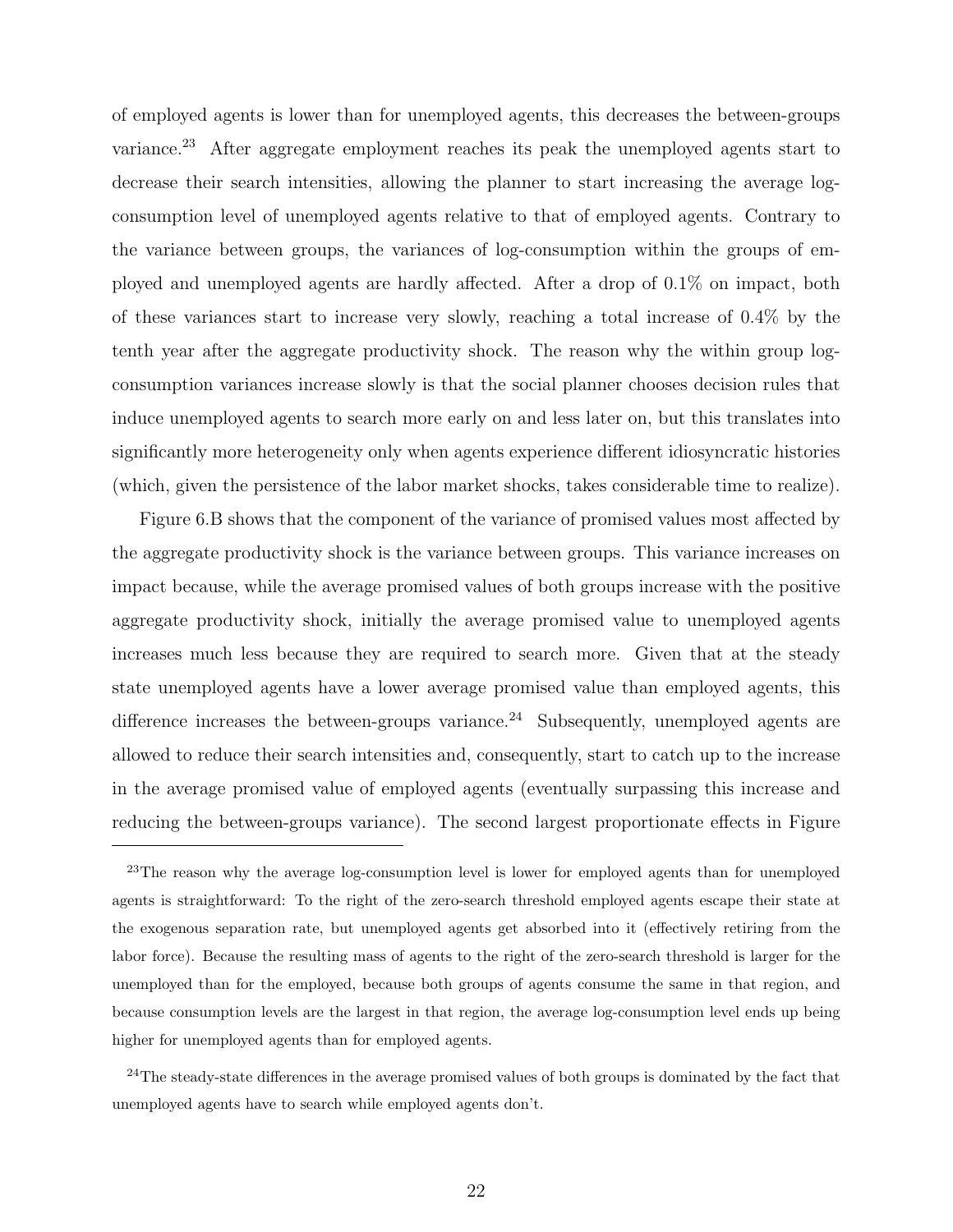of employed agents is lower than for unemployed agents, this decreases the between-groups variance.<sup>23</sup> After aggregate employment reaches its peak the unemployed agents start to decrease their search intensities, allowing the planner to start increasing the average logconsumption level of unemployed agents relative to that of employed agents. Contrary to the variance between groups, the variances of log-consumption within the groups of employed and unemployed agents are hardly affected. After a drop of 0.1% on impact, both of these variances start to increase very slowly, reaching a total increase of 0.4% by the tenth year after the aggregate productivity shock. The reason why the within group logconsumption variances increase slowly is that the social planner chooses decision rules that induce unemployed agents to search more early on and less later on, but this translates into significantly more heterogeneity only when agents experience different idiosyncratic histories (which, given the persistence of the labor market shocks, takes considerable time to realize).

Figure 6.B shows that the component of the variance of promised values most affected by the aggregate productivity shock is the variance between groups. This variance increases on impact because, while the average promised values of both groups increase with the positive aggregate productivity shock, initially the average promised value to unemployed agents increases much less because they are required to search more. Given that at the steady state unemployed agents have a lower average promised value than employed agents, this difference increases the between-groups variance.<sup>24</sup> Subsequently, unemployed agents are allowed to reduce their search intensities and, consequently, start to catch up to the increase in the average promised value of employed agents (eventually surpassing this increase and reducing the between-groups variance). The second largest proportionate effects in Figure

<sup>23</sup>The reason why the average log-consumption level is lower for employed agents than for unemployed agents is straightforward: To the right of the zero-search threshold employed agents escape their state at the exogenous separation rate, but unemployed agents get absorbed into it (effectively retiring from the labor force). Because the resulting mass of agents to the right of the zero-search threshold is larger for the unemployed than for the employed, because both groups of agents consume the same in that region, and because consumption levels are the largest in that region, the average log-consumption level ends up being higher for unemployed agents than for employed agents.

 $24$ The steady-state differences in the average promised values of both groups is dominated by the fact that unemployed agents have to search while employed agents don't.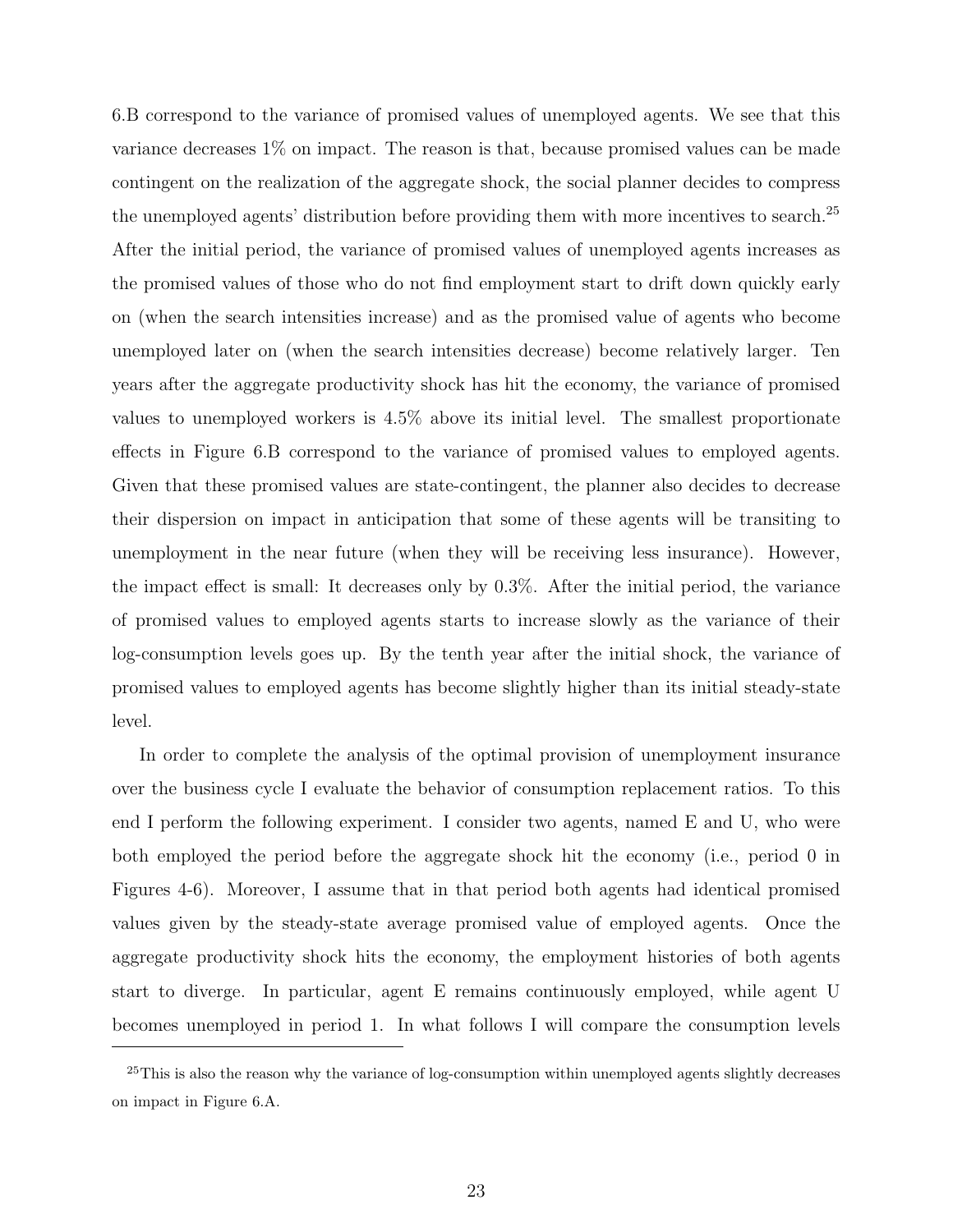6.B correspond to the variance of promised values of unemployed agents. We see that this variance decreases 1% on impact. The reason is that, because promised values can be made contingent on the realization of the aggregate shock, the social planner decides to compress the unemployed agents' distribution before providing them with more incentives to search.<sup>25</sup> After the initial period, the variance of promised values of unemployed agents increases as the promised values of those who do not find employment start to drift down quickly early on (when the search intensities increase) and as the promised value of agents who become unemployed later on (when the search intensities decrease) become relatively larger. Ten years after the aggregate productivity shock has hit the economy, the variance of promised values to unemployed workers is 4.5% above its initial level. The smallest proportionate effects in Figure 6.B correspond to the variance of promised values to employed agents. Given that these promised values are state-contingent, the planner also decides to decrease their dispersion on impact in anticipation that some of these agents will be transiting to unemployment in the near future (when they will be receiving less insurance). However, the impact effect is small: It decreases only by 0.3%. After the initial period, the variance of promised values to employed agents starts to increase slowly as the variance of their log-consumption levels goes up. By the tenth year after the initial shock, the variance of promised values to employed agents has become slightly higher than its initial steady-state level.

In order to complete the analysis of the optimal provision of unemployment insurance over the business cycle I evaluate the behavior of consumption replacement ratios. To this end I perform the following experiment. I consider two agents, named E and U, who were both employed the period before the aggregate shock hit the economy (i.e., period 0 in Figures 4-6). Moreover, I assume that in that period both agents had identical promised values given by the steady-state average promised value of employed agents. Once the aggregate productivity shock hits the economy, the employment histories of both agents start to diverge. In particular, agent E remains continuously employed, while agent U becomes unemployed in period 1. In what follows I will compare the consumption levels

 $^{25}$ This is also the reason why the variance of log-consumption within unemployed agents slightly decreases on impact in Figure 6.A.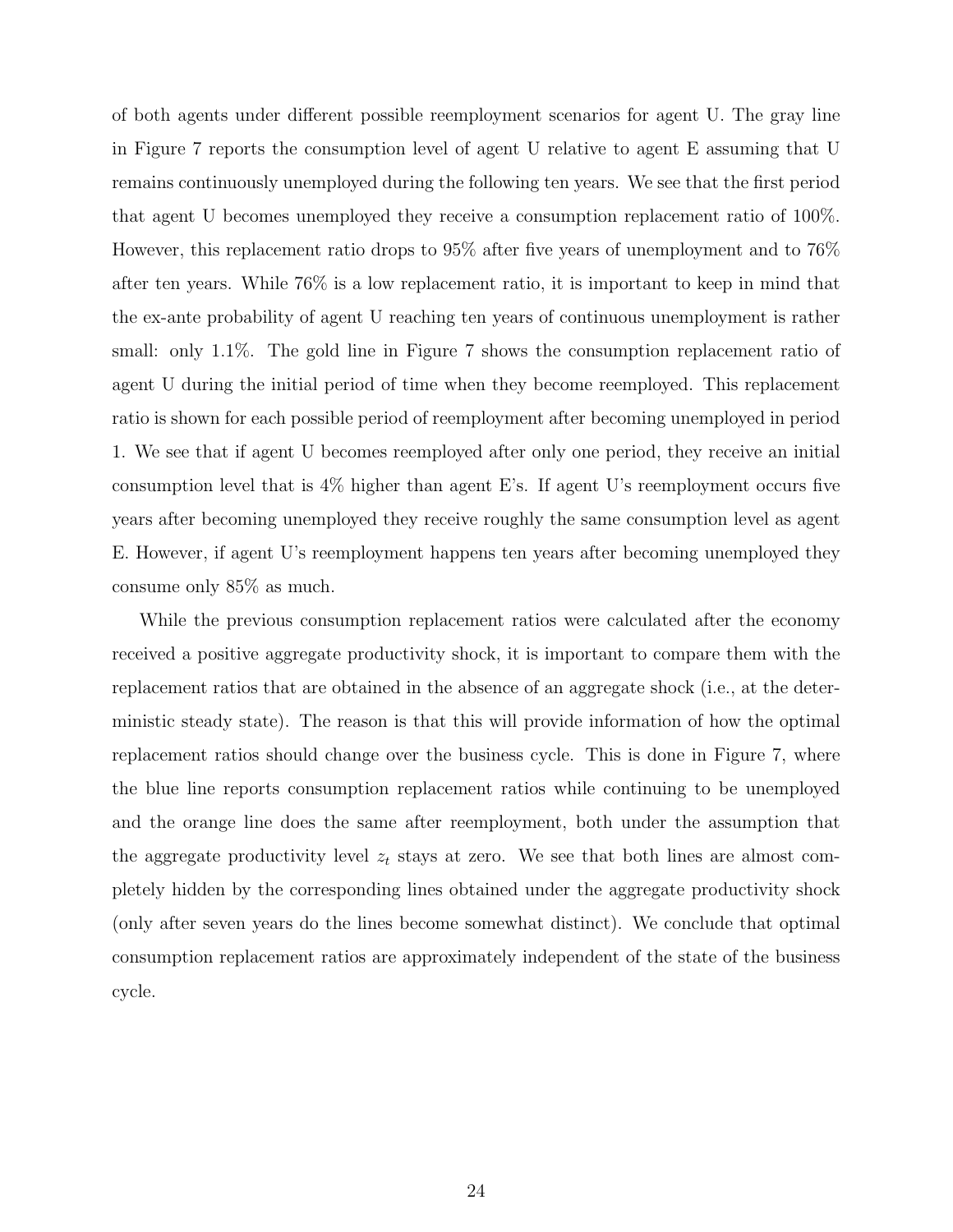of both agents under different possible reemployment scenarios for agent U. The gray line in Figure 7 reports the consumption level of agent U relative to agent E assuming that U remains continuously unemployed during the following ten years. We see that the first period that agent U becomes unemployed they receive a consumption replacement ratio of 100%. However, this replacement ratio drops to 95% after five years of unemployment and to 76% after ten years. While 76% is a low replacement ratio, it is important to keep in mind that the ex-ante probability of agent U reaching ten years of continuous unemployment is rather small: only 1.1%. The gold line in Figure 7 shows the consumption replacement ratio of agent U during the initial period of time when they become reemployed. This replacement ratio is shown for each possible period of reemployment after becoming unemployed in period 1. We see that if agent U becomes reemployed after only one period, they receive an initial consumption level that is 4% higher than agent E's. If agent U's reemployment occurs five years after becoming unemployed they receive roughly the same consumption level as agent E. However, if agent U's reemployment happens ten years after becoming unemployed they consume only 85% as much.

While the previous consumption replacement ratios were calculated after the economy received a positive aggregate productivity shock, it is important to compare them with the replacement ratios that are obtained in the absence of an aggregate shock (i.e., at the deterministic steady state). The reason is that this will provide information of how the optimal replacement ratios should change over the business cycle. This is done in Figure 7, where the blue line reports consumption replacement ratios while continuing to be unemployed and the orange line does the same after reemployment, both under the assumption that the aggregate productivity level  $z_t$  stays at zero. We see that both lines are almost completely hidden by the corresponding lines obtained under the aggregate productivity shock (only after seven years do the lines become somewhat distinct). We conclude that optimal consumption replacement ratios are approximately independent of the state of the business cycle.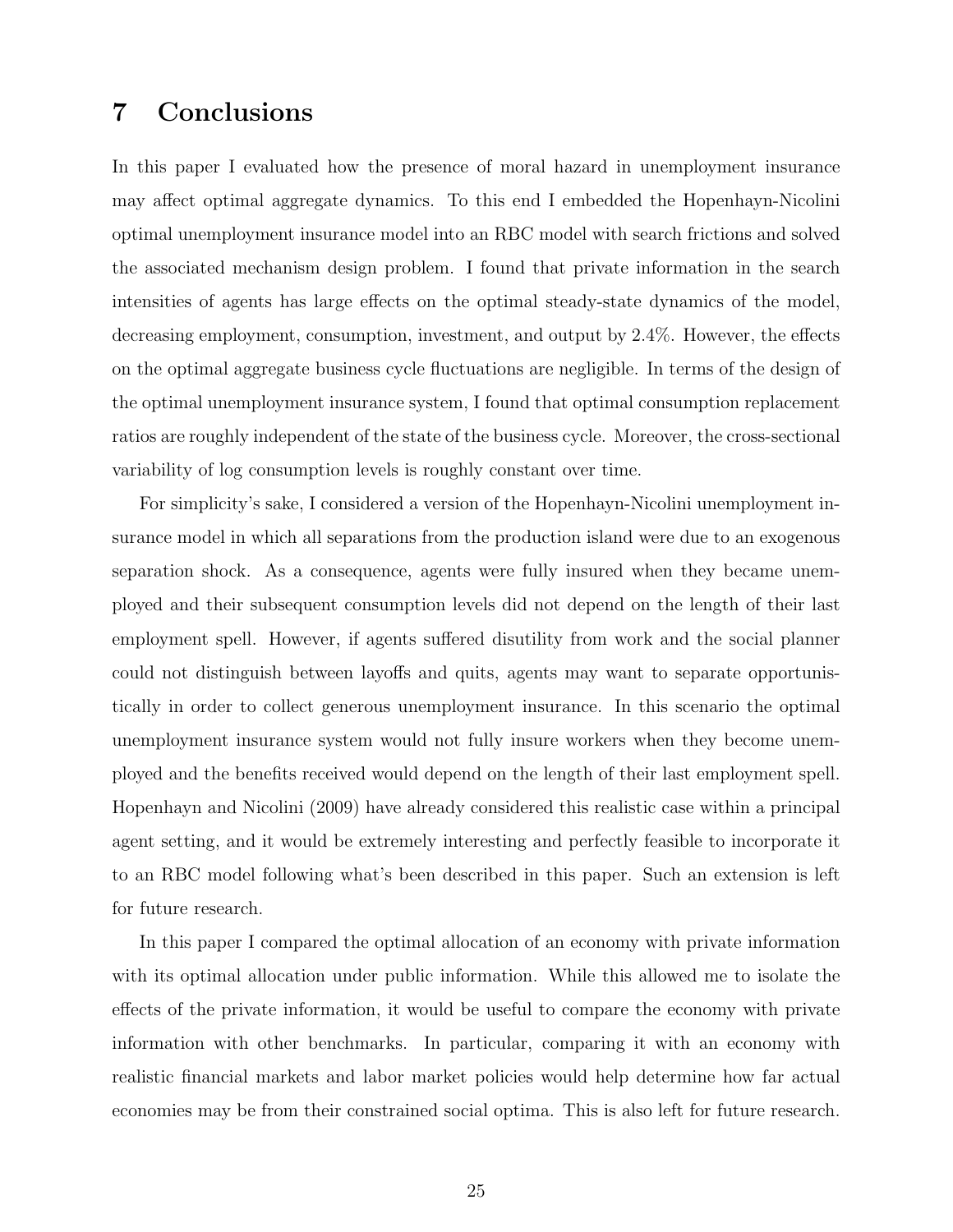## 7 Conclusions

In this paper I evaluated how the presence of moral hazard in unemployment insurance may affect optimal aggregate dynamics. To this end I embedded the Hopenhayn-Nicolini optimal unemployment insurance model into an RBC model with search frictions and solved the associated mechanism design problem. I found that private information in the search intensities of agents has large effects on the optimal steady-state dynamics of the model, decreasing employment, consumption, investment, and output by 2.4%. However, the effects on the optimal aggregate business cycle fluctuations are negligible. In terms of the design of the optimal unemployment insurance system, I found that optimal consumption replacement ratios are roughly independent of the state of the business cycle. Moreover, the cross-sectional variability of log consumption levels is roughly constant over time.

For simplicity's sake, I considered a version of the Hopenhayn-Nicolini unemployment insurance model in which all separations from the production island were due to an exogenous separation shock. As a consequence, agents were fully insured when they became unemployed and their subsequent consumption levels did not depend on the length of their last employment spell. However, if agents suffered disutility from work and the social planner could not distinguish between layoffs and quits, agents may want to separate opportunistically in order to collect generous unemployment insurance. In this scenario the optimal unemployment insurance system would not fully insure workers when they become unemployed and the benefits received would depend on the length of their last employment spell. Hopenhayn and Nicolini (2009) have already considered this realistic case within a principal agent setting, and it would be extremely interesting and perfectly feasible to incorporate it to an RBC model following what's been described in this paper. Such an extension is left for future research.

In this paper I compared the optimal allocation of an economy with private information with its optimal allocation under public information. While this allowed me to isolate the effects of the private information, it would be useful to compare the economy with private information with other benchmarks. In particular, comparing it with an economy with realistic financial markets and labor market policies would help determine how far actual economies may be from their constrained social optima. This is also left for future research.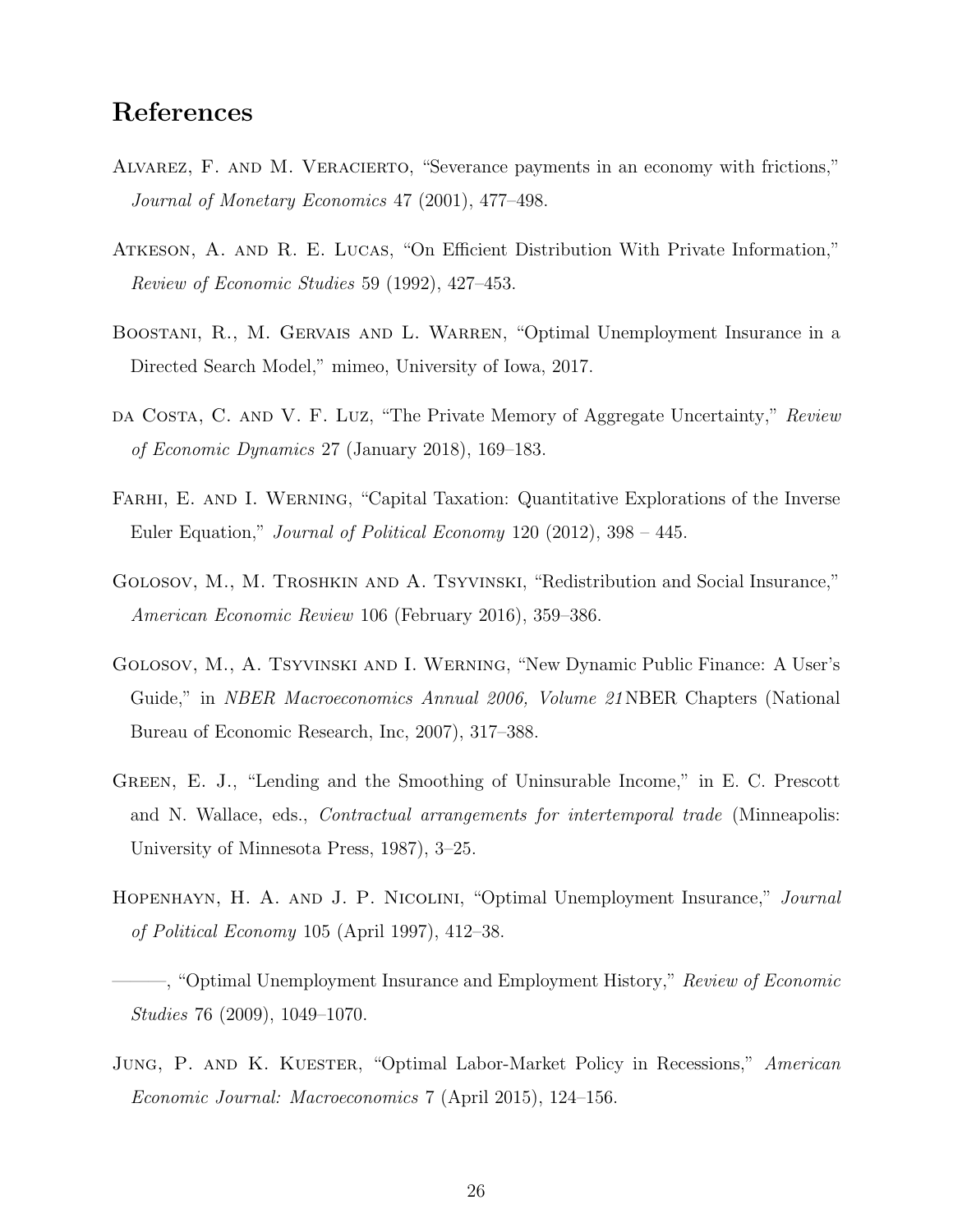#### References

- Alvarez, F. and M. Veracierto, "Severance payments in an economy with frictions," Journal of Monetary Economics 47 (2001), 477–498.
- Atkeson, A. and R. E. Lucas, "On Efficient Distribution With Private Information," Review of Economic Studies 59 (1992), 427–453.
- BOOSTANI, R., M. GERVAIS AND L. WARREN, "Optimal Unemployment Insurance in a Directed Search Model," mimeo, University of Iowa, 2017.
- da Costa, C. and V. F. Luz, "The Private Memory of Aggregate Uncertainty," Review of Economic Dynamics 27 (January 2018), 169–183.
- FARHI, E. AND I. WERNING, "Capital Taxation: Quantitative Explorations of the Inverse Euler Equation," Journal of Political Economy 120 (2012), 398 – 445.
- Golosov, M., M. Troshkin and A. Tsyvinski, "Redistribution and Social Insurance," American Economic Review 106 (February 2016), 359–386.
- Golosov, M., A. Tsyvinski and I. Werning, "New Dynamic Public Finance: A User's Guide," in *NBER Macroeconomics Annual 2006*, *Volume 21* NBER Chapters (National Bureau of Economic Research, Inc, 2007), 317–388.
- Green, E. J., "Lending and the Smoothing of Uninsurable Income," in E. C. Prescott and N. Wallace, eds., *Contractual arrangements for intertemporal trade* (Minneapolis: University of Minnesota Press, 1987), 3–25.
- Hopenhayn, H. A. and J. P. Nicolini, "Optimal Unemployment Insurance," Journal of Political Economy 105 (April 1997), 412–38.

-, "Optimal Unemployment Insurance and Employment History," Review of Economic Studies 76 (2009), 1049–1070.

JUNG, P. AND K. KUESTER, "Optimal Labor-Market Policy in Recessions," American Economic Journal: Macroeconomics 7 (April 2015), 124–156.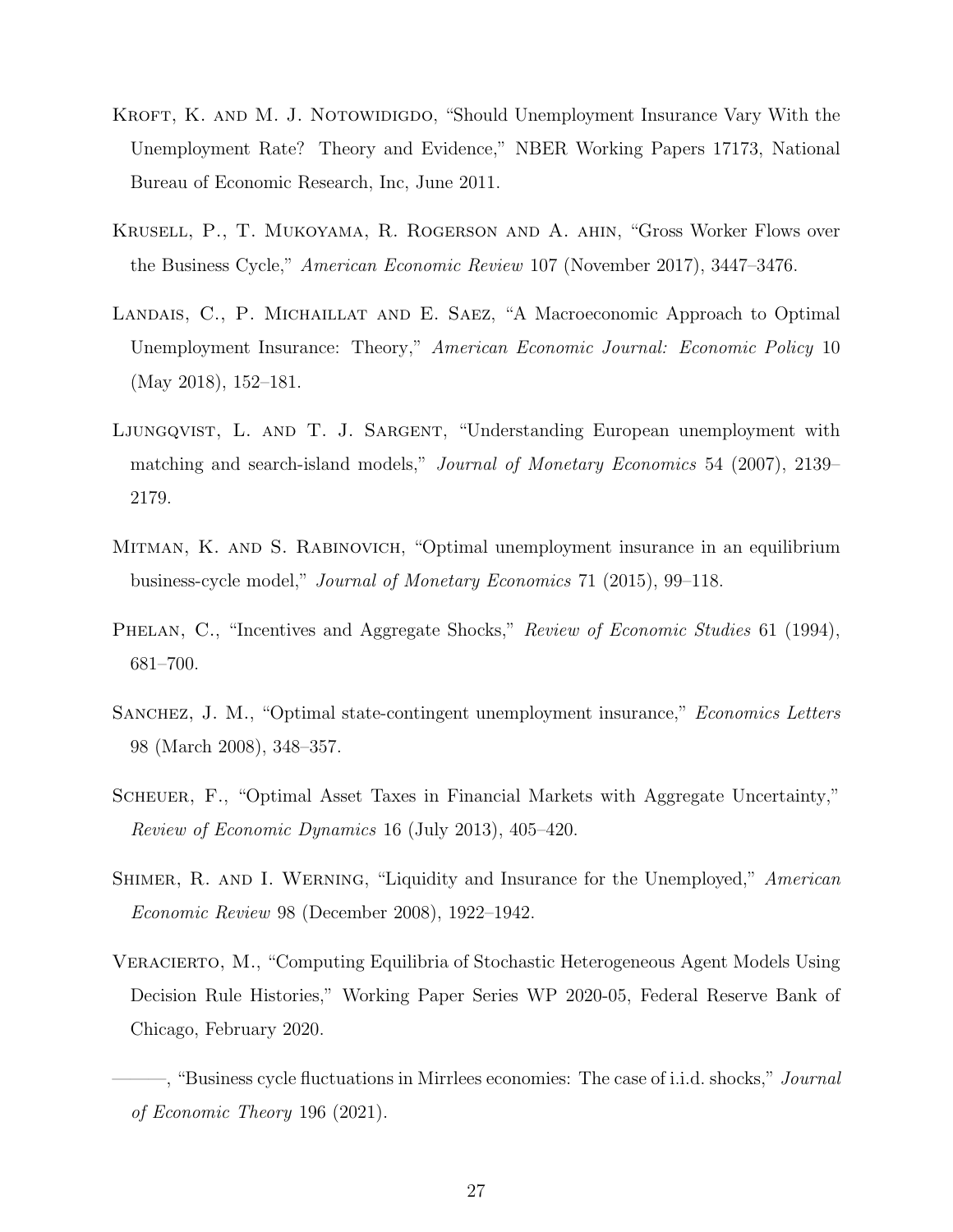- KROFT, K. AND M. J. NOTOWIDIGDO, "Should Unemployment Insurance Vary With the Unemployment Rate? Theory and Evidence," NBER Working Papers 17173, National Bureau of Economic Research, Inc, June 2011.
- Krusell, P., T. Mukoyama, R. Rogerson and A. ahin, "Gross Worker Flows over the Business Cycle," American Economic Review 107 (November 2017), 3447–3476.
- LANDAIS, C., P. MICHAILLAT AND E. SAEZ, "A Macroeconomic Approach to Optimal Unemployment Insurance: Theory," American Economic Journal: Economic Policy 10 (May 2018), 152–181.
- LJUNGQVIST, L. AND T. J. SARGENT, "Understanding European unemployment with matching and search-island models," Journal of Monetary Economics 54 (2007), 2139– 2179.
- Mitman, K. and S. Rabinovich, "Optimal unemployment insurance in an equilibrium business-cycle model," Journal of Monetary Economics 71 (2015), 99–118.
- PHELAN, C., "Incentives and Aggregate Shocks," Review of Economic Studies 61 (1994), 681–700.
- Sanchez, J. M., "Optimal state-contingent unemployment insurance," Economics Letters 98 (March 2008), 348–357.
- Scheuer, F., "Optimal Asset Taxes in Financial Markets with Aggregate Uncertainty," Review of Economic Dynamics 16 (July 2013), 405–420.
- SHIMER, R. AND I. WERNING, "Liquidity and Insurance for the Unemployed," American Economic Review 98 (December 2008), 1922–1942.
- Veracierto, M., "Computing Equilibria of Stochastic Heterogeneous Agent Models Using Decision Rule Histories," Working Paper Series WP 2020-05, Federal Reserve Bank of Chicago, February 2020.
	- –, "Business cycle fluctuations in Mirrlees economies: The case of i.i.d. shocks," *Journal* of Economic Theory 196 (2021).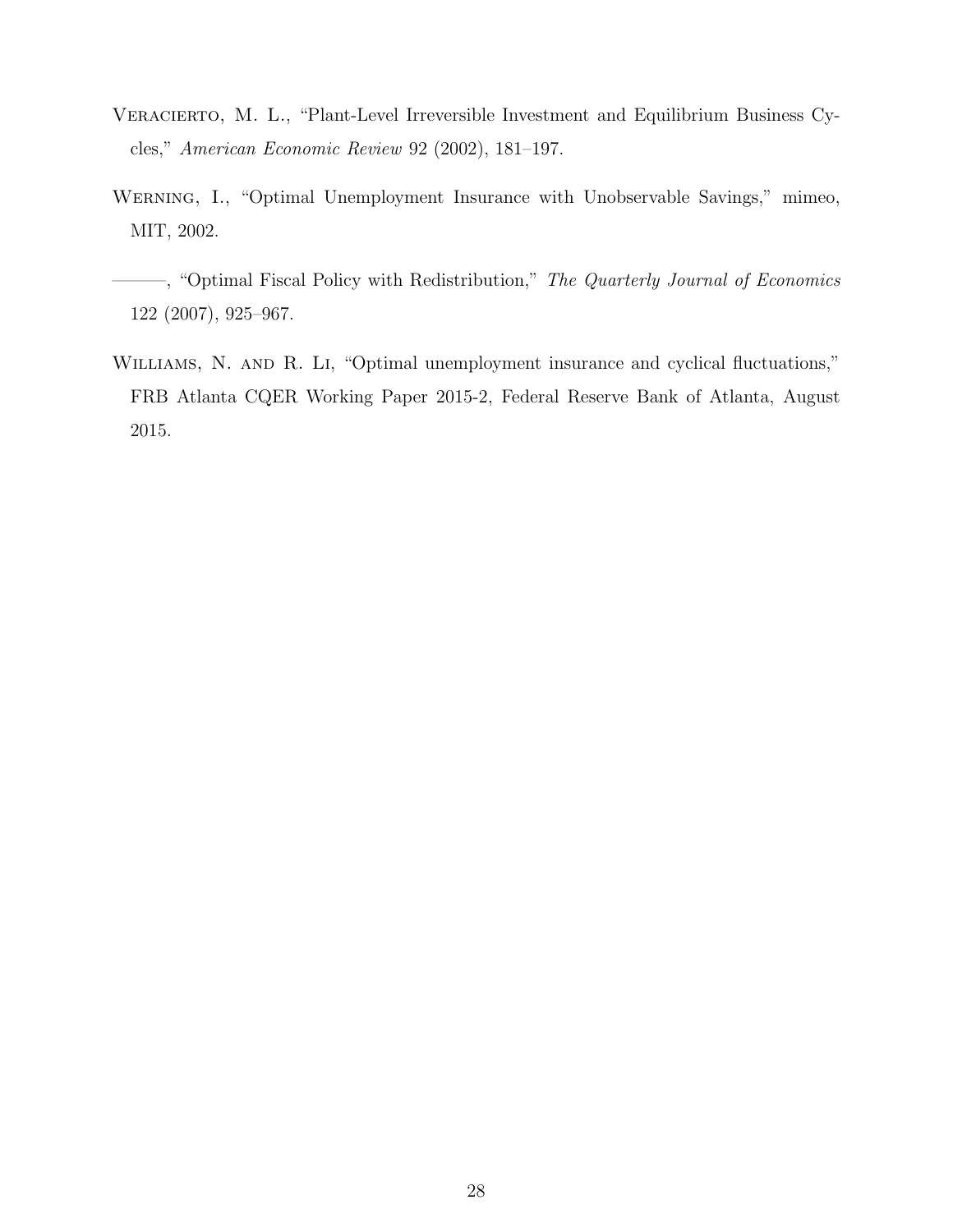- Veracierto, M. L., "Plant-Level Irreversible Investment and Equilibrium Business Cycles," American Economic Review 92 (2002), 181–197.
- WERNING, I., "Optimal Unemployment Insurance with Unobservable Savings," mimeo, MIT, 2002.
- ——, "Optimal Fiscal Policy with Redistribution," The Quarterly Journal of Economics 122 (2007), 925–967.
- WILLIAMS, N. AND R. LI, "Optimal unemployment insurance and cyclical fluctuations," FRB Atlanta CQER Working Paper 2015-2, Federal Reserve Bank of Atlanta, August 2015.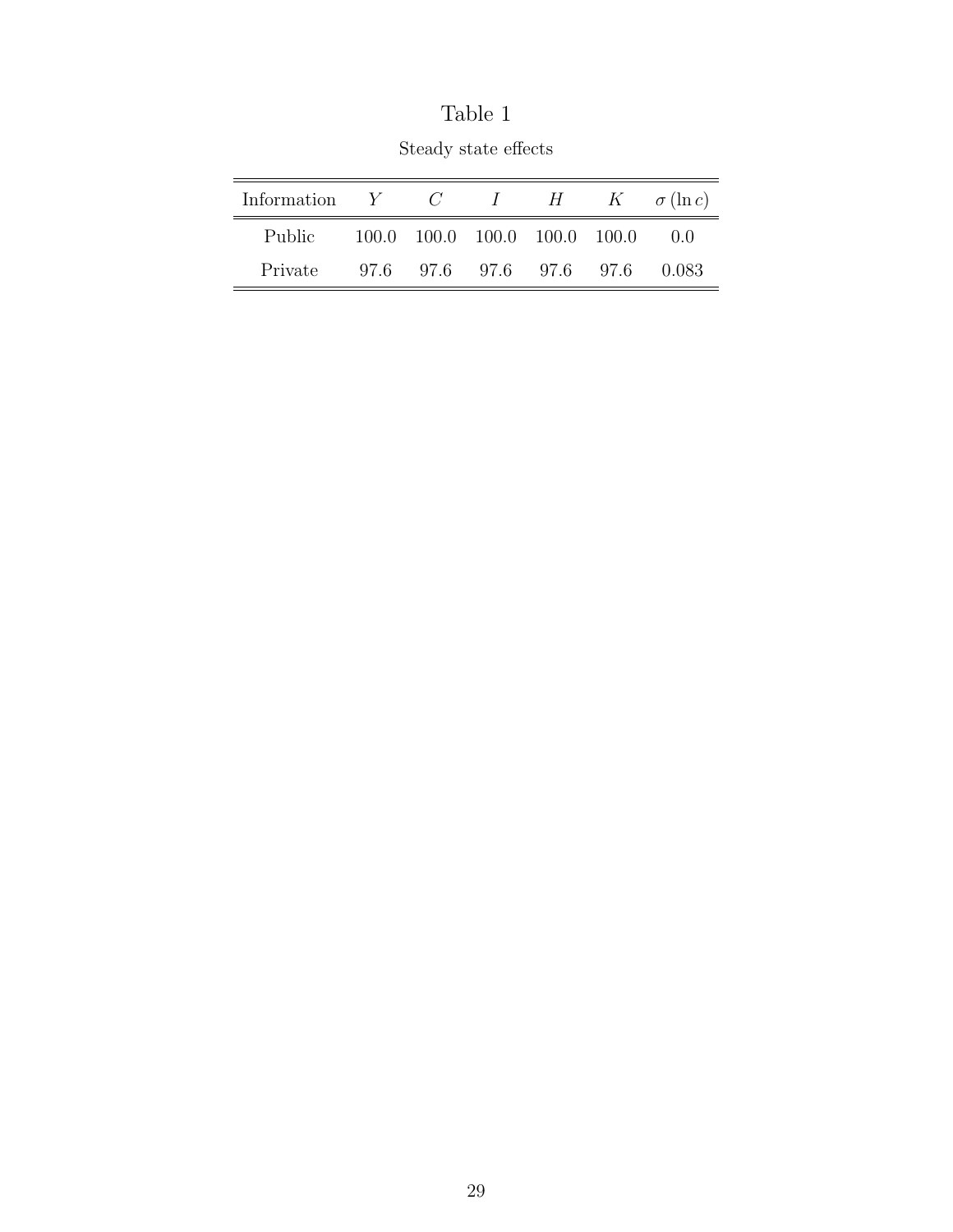| Information $Y$ $C$ $I$ $H$ $K$ $\sigma(\ln c)$ |  |                                         |            |
|-------------------------------------------------|--|-----------------------------------------|------------|
| Public                                          |  | $100.0$ $100.0$ $100.0$ $100.0$ $100.0$ | $\Box$ 0.0 |
| Private                                         |  | 97.6 97.6 97.6 97.6 97.6                | 0.083      |

Table 1 Steady state effects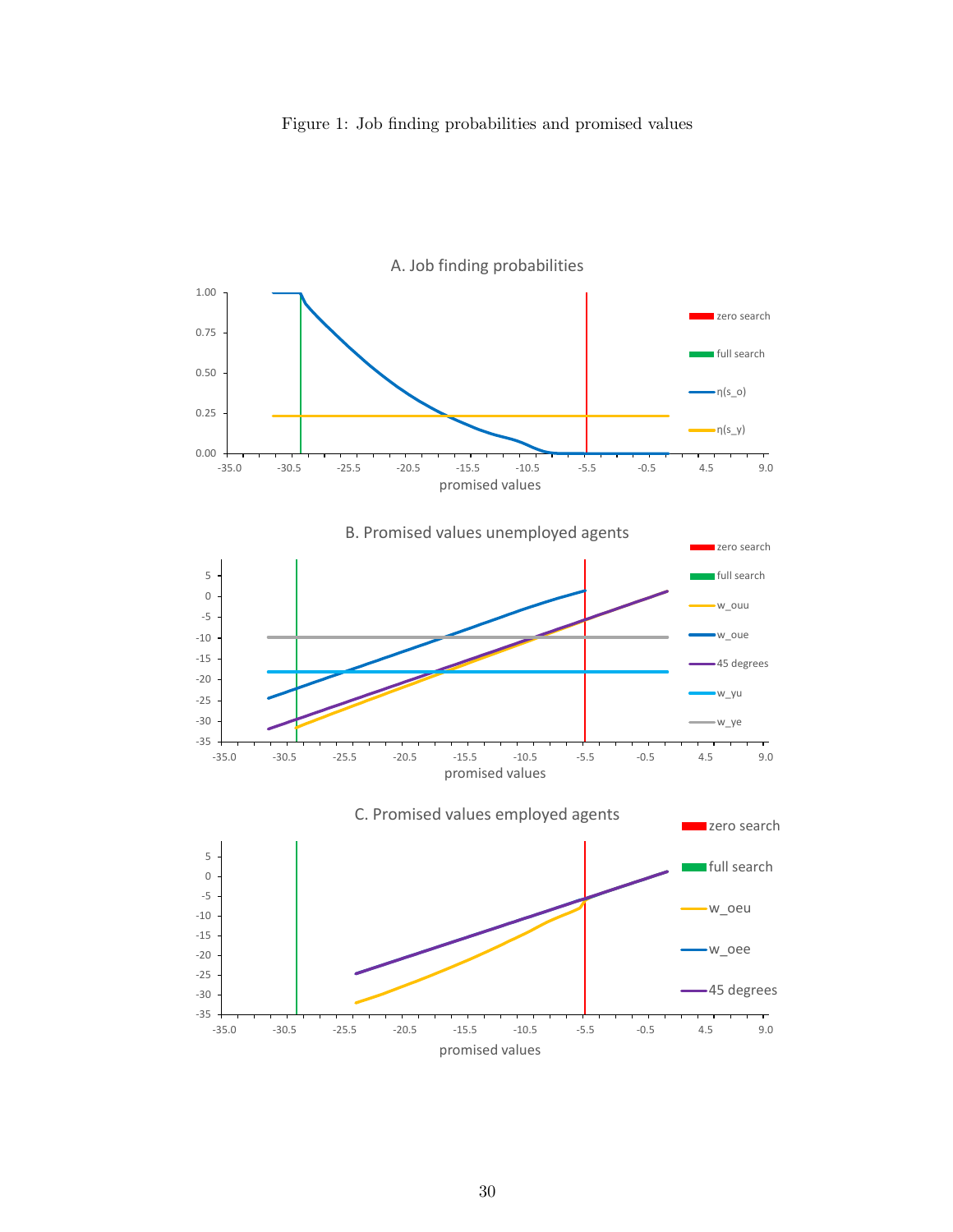

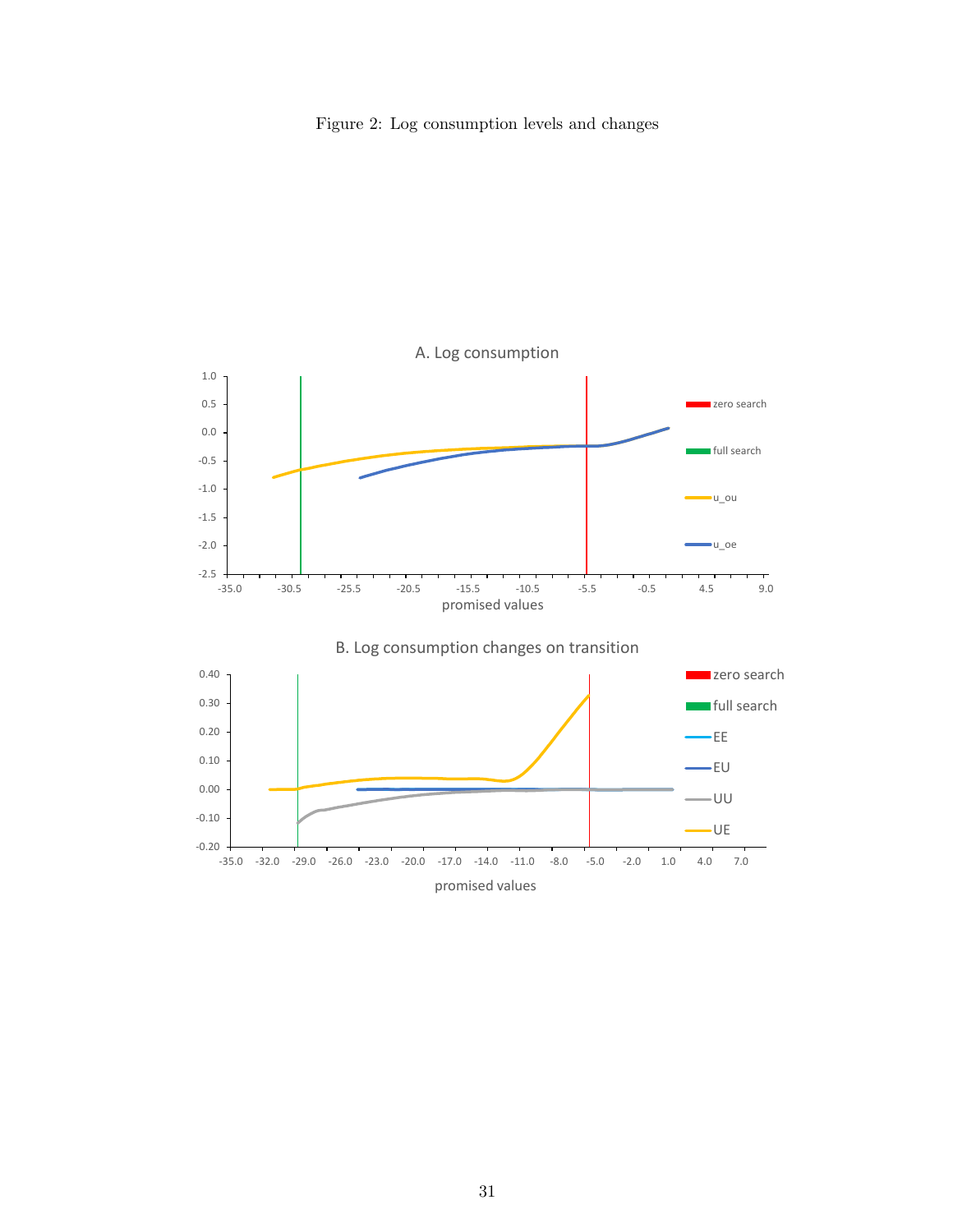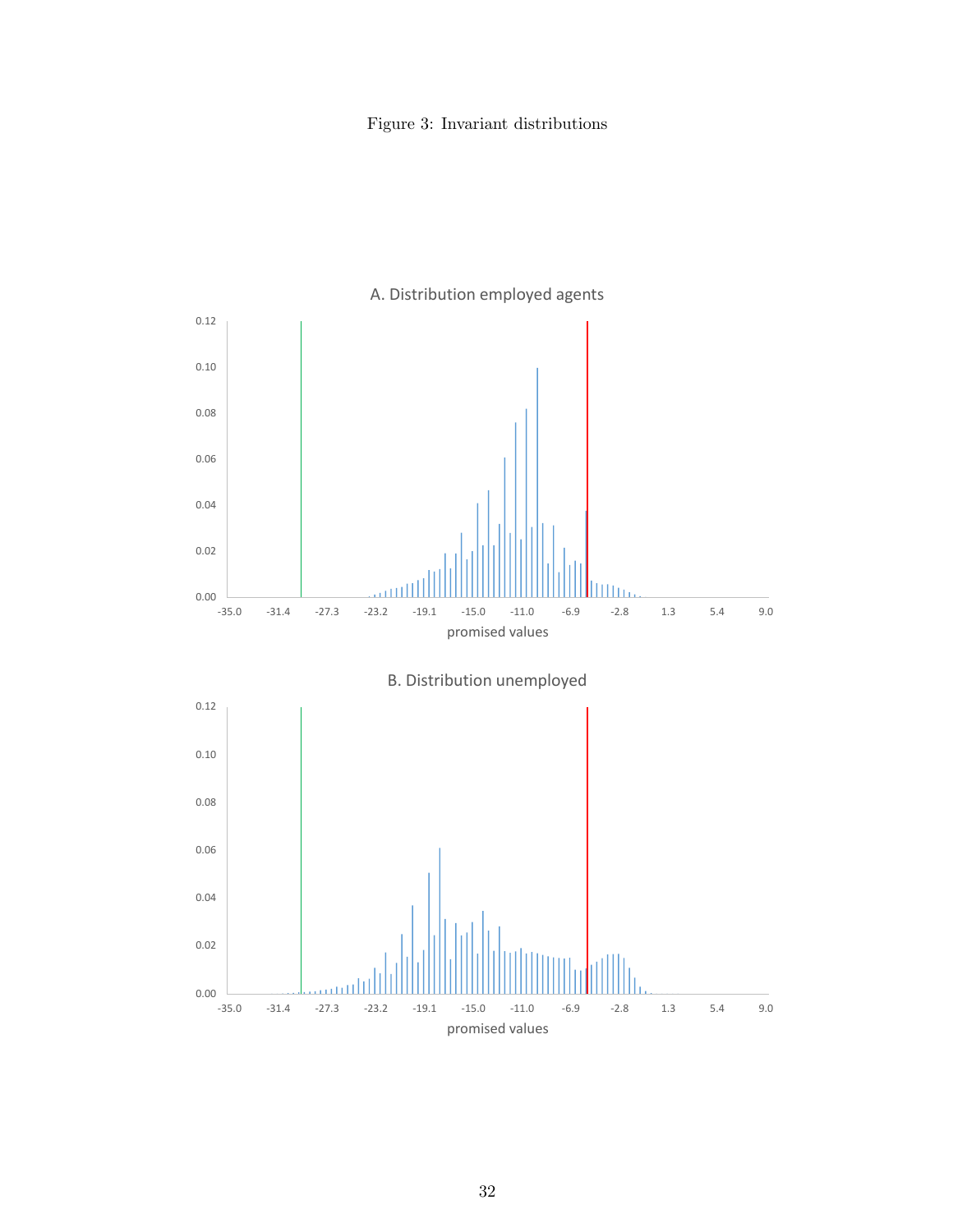Figure 3: Invariant distributions

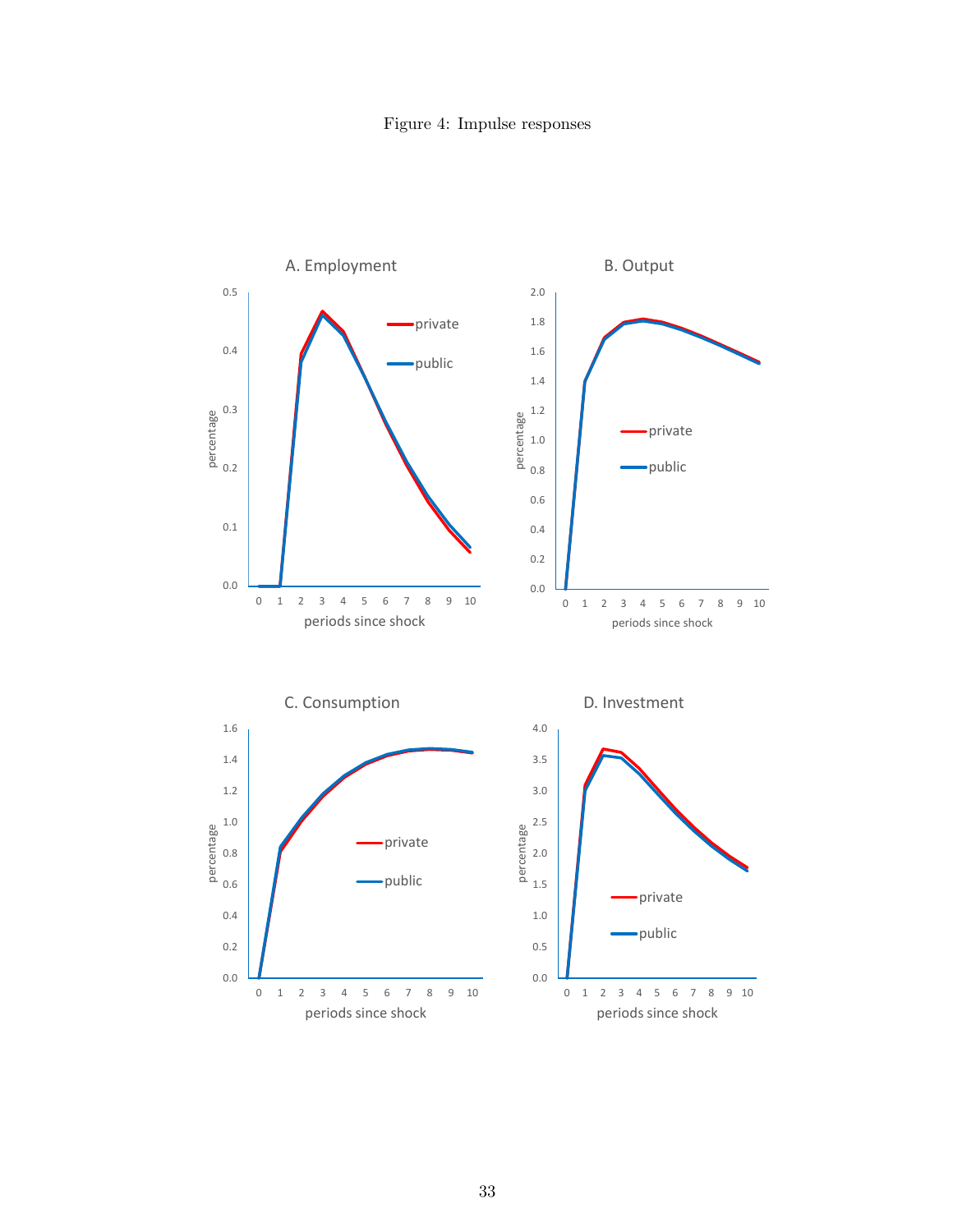Figure 4: Impulse responses

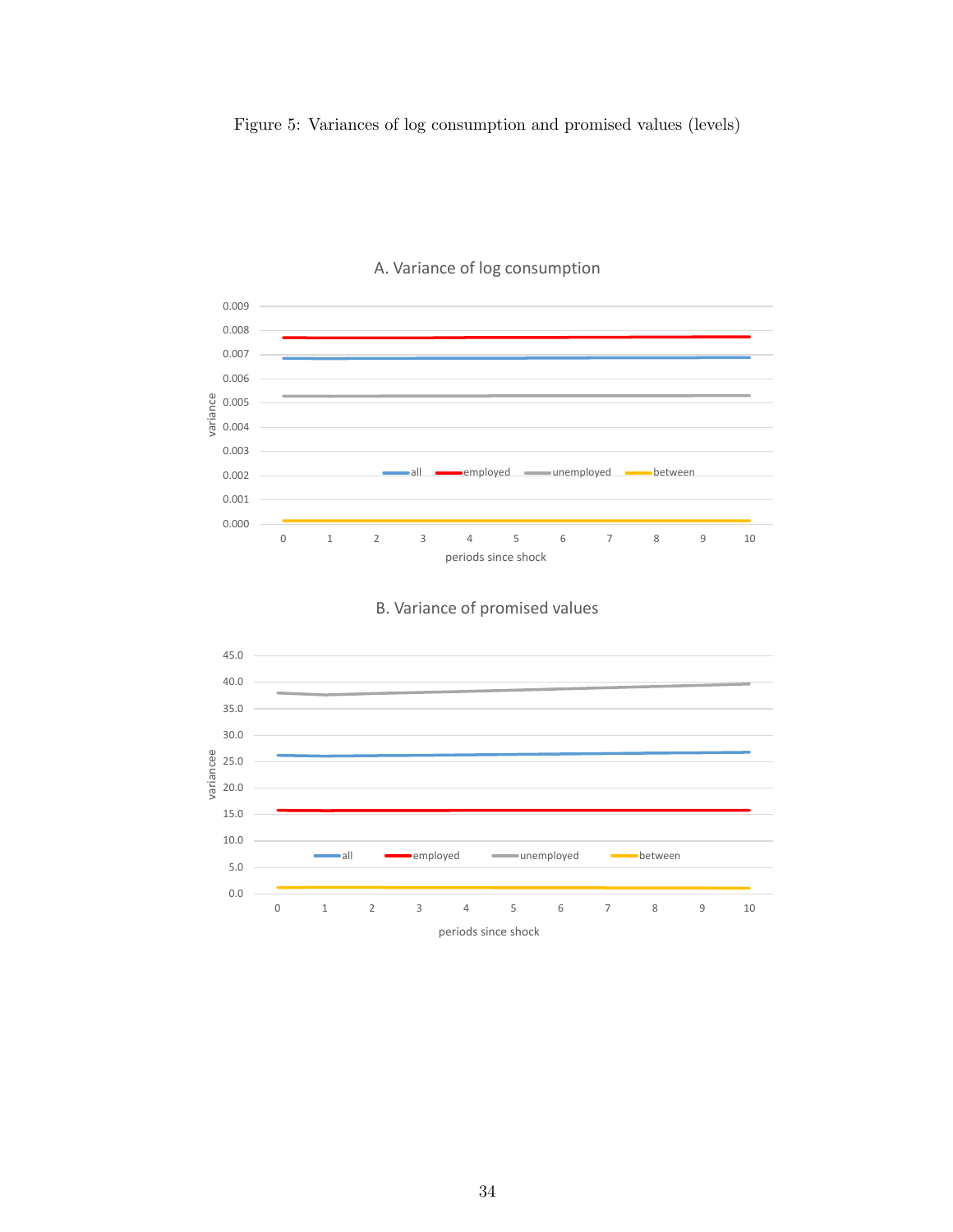



#### A. Variance of log consumption



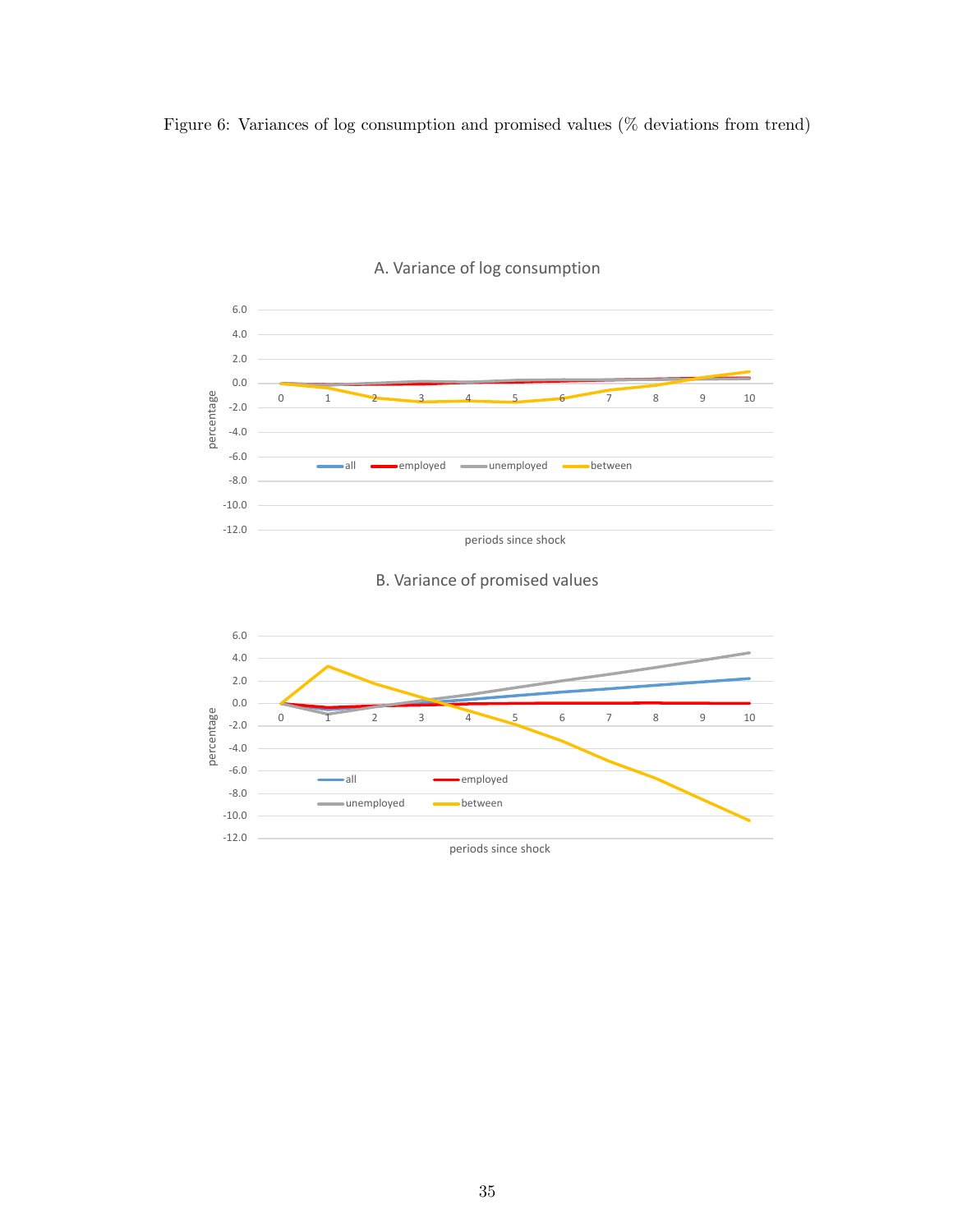Figure 6: Variances of log consumption and promised values (% deviations from trend)



#### A. Variance of log consumption